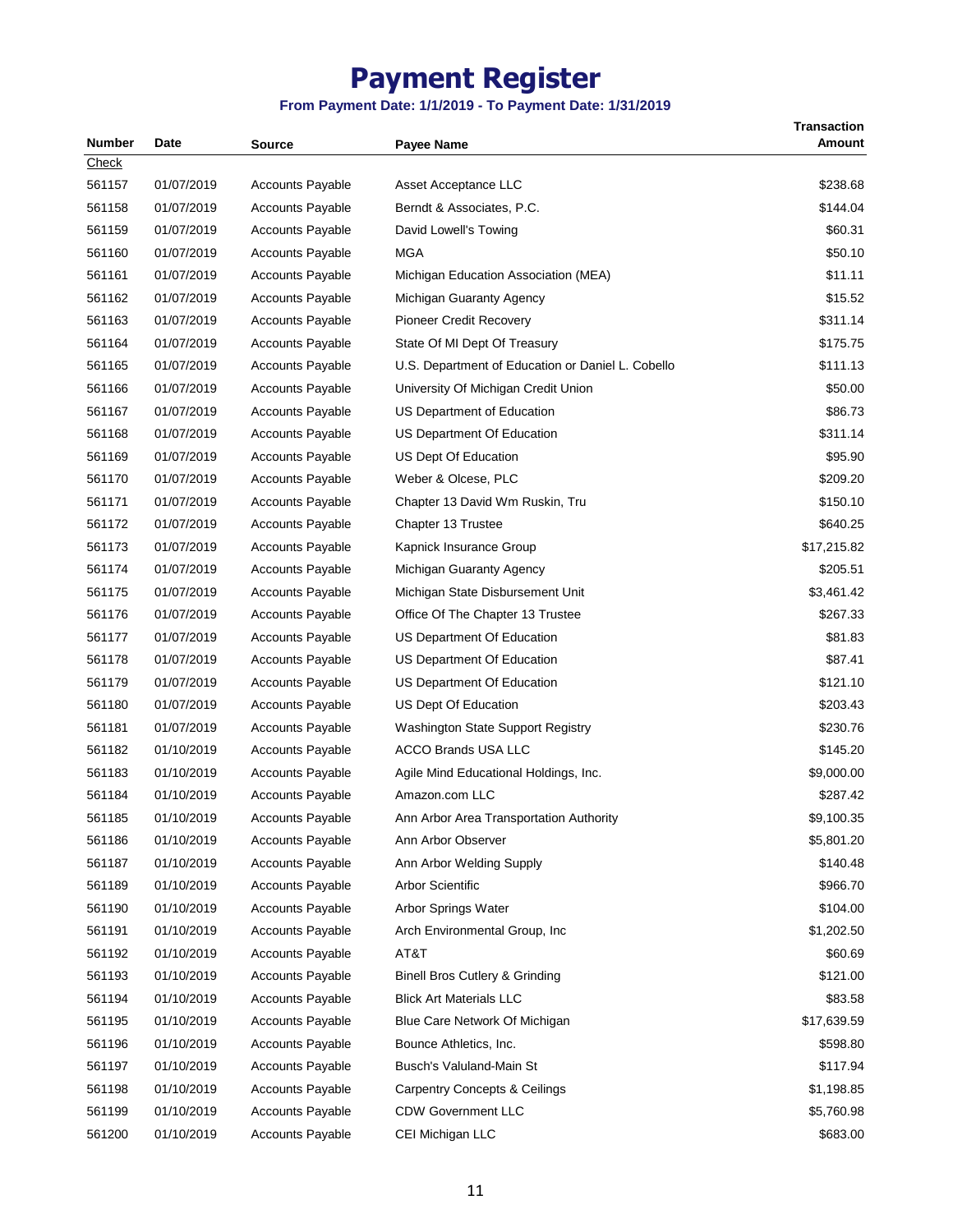| <b>Number</b> | Date       | <b>Source</b>           | <b>Payee Name</b>                                 | <b>Transaction</b><br>Amount |
|---------------|------------|-------------------------|---------------------------------------------------|------------------------------|
| Check         |            |                         |                                                   |                              |
| 561157        | 01/07/2019 | <b>Accounts Payable</b> | Asset Acceptance LLC                              | \$238.68                     |
| 561158        | 01/07/2019 | <b>Accounts Payable</b> | Berndt & Associates, P.C.                         | \$144.04                     |
| 561159        | 01/07/2019 | <b>Accounts Payable</b> | David Lowell's Towing                             | \$60.31                      |
| 561160        | 01/07/2019 | <b>Accounts Payable</b> | MGA                                               | \$50.10                      |
| 561161        | 01/07/2019 | <b>Accounts Payable</b> | Michigan Education Association (MEA)              | \$11.11                      |
| 561162        | 01/07/2019 | <b>Accounts Payable</b> | Michigan Guaranty Agency                          | \$15.52                      |
| 561163        | 01/07/2019 | <b>Accounts Payable</b> | <b>Pioneer Credit Recovery</b>                    | \$311.14                     |
| 561164        | 01/07/2019 | <b>Accounts Payable</b> | State Of MI Dept Of Treasury                      | \$175.75                     |
| 561165        | 01/07/2019 | <b>Accounts Payable</b> | U.S. Department of Education or Daniel L. Cobello | \$111.13                     |
| 561166        | 01/07/2019 | Accounts Payable        | University Of Michigan Credit Union               | \$50.00                      |
| 561167        | 01/07/2019 | <b>Accounts Payable</b> | US Department of Education                        | \$86.73                      |
| 561168        | 01/07/2019 | <b>Accounts Payable</b> | US Department Of Education                        | \$311.14                     |
| 561169        | 01/07/2019 | <b>Accounts Payable</b> | US Dept Of Education                              | \$95.90                      |
| 561170        | 01/07/2019 | <b>Accounts Payable</b> | Weber & Olcese, PLC                               | \$209.20                     |
| 561171        | 01/07/2019 | <b>Accounts Payable</b> | Chapter 13 David Wm Ruskin, Tru                   | \$150.10                     |
| 561172        | 01/07/2019 | <b>Accounts Payable</b> | Chapter 13 Trustee                                | \$640.25                     |
| 561173        | 01/07/2019 | <b>Accounts Payable</b> | Kapnick Insurance Group                           | \$17,215.82                  |
| 561174        | 01/07/2019 | <b>Accounts Payable</b> | Michigan Guaranty Agency                          | \$205.51                     |
| 561175        | 01/07/2019 | <b>Accounts Payable</b> | Michigan State Disbursement Unit                  | \$3,461.42                   |
| 561176        | 01/07/2019 | <b>Accounts Payable</b> | Office Of The Chapter 13 Trustee                  | \$267.33                     |
| 561177        | 01/07/2019 | <b>Accounts Payable</b> | US Department Of Education                        | \$81.83                      |
| 561178        | 01/07/2019 | <b>Accounts Payable</b> | US Department Of Education                        | \$87.41                      |
| 561179        | 01/07/2019 | <b>Accounts Payable</b> | US Department Of Education                        | \$121.10                     |
| 561180        | 01/07/2019 | <b>Accounts Payable</b> | US Dept Of Education                              | \$203.43                     |
| 561181        | 01/07/2019 | <b>Accounts Payable</b> | <b>Washington State Support Registry</b>          | \$230.76                     |
| 561182        | 01/10/2019 | <b>Accounts Payable</b> | <b>ACCO Brands USA LLC</b>                        | \$145.20                     |
|               |            | <b>Accounts Payable</b> |                                                   |                              |
| 561183        | 01/10/2019 |                         | Agile Mind Educational Holdings, Inc.             | \$9,000.00                   |
| 561184        | 01/10/2019 | <b>Accounts Payable</b> | Amazon.com LLC                                    | \$287.42                     |
| 561185        | 01/10/2019 | <b>Accounts Payable</b> | Ann Arbor Area Transportation Authority           | \$9,100.35                   |
| 561186        | 01/10/2019 | <b>Accounts Payable</b> | Ann Arbor Observer                                | \$5,801.20                   |
| 561187        | 01/10/2019 | Accounts Payable        | Ann Arbor Welding Supply                          | \$140.48                     |
| 561189        | 01/10/2019 | <b>Accounts Payable</b> | <b>Arbor Scientific</b>                           | \$966.70                     |
| 561190        | 01/10/2019 | <b>Accounts Payable</b> | Arbor Springs Water                               | \$104.00                     |
| 561191        | 01/10/2019 | <b>Accounts Payable</b> | Arch Environmental Group, Inc.                    | \$1,202.50                   |
| 561192        | 01/10/2019 | <b>Accounts Payable</b> | AT&T                                              | \$60.69                      |
| 561193        | 01/10/2019 | Accounts Payable        | <b>Binell Bros Cutlery &amp; Grinding</b>         | \$121.00                     |
| 561194        | 01/10/2019 | <b>Accounts Payable</b> | <b>Blick Art Materials LLC</b>                    | \$83.58                      |
| 561195        | 01/10/2019 | <b>Accounts Payable</b> | Blue Care Network Of Michigan                     | \$17,639.59                  |
| 561196        | 01/10/2019 | <b>Accounts Payable</b> | Bounce Athletics, Inc.                            | \$598.80                     |
| 561197        | 01/10/2019 | <b>Accounts Payable</b> | Busch's Valuland-Main St                          | \$117.94                     |
| 561198        | 01/10/2019 | Accounts Payable        | <b>Carpentry Concepts &amp; Ceilings</b>          | \$1,198.85                   |
| 561199        | 01/10/2019 | Accounts Payable        | <b>CDW Government LLC</b>                         | \$5,760.98                   |
| 561200        | 01/10/2019 | Accounts Payable        | CEI Michigan LLC                                  | \$683.00                     |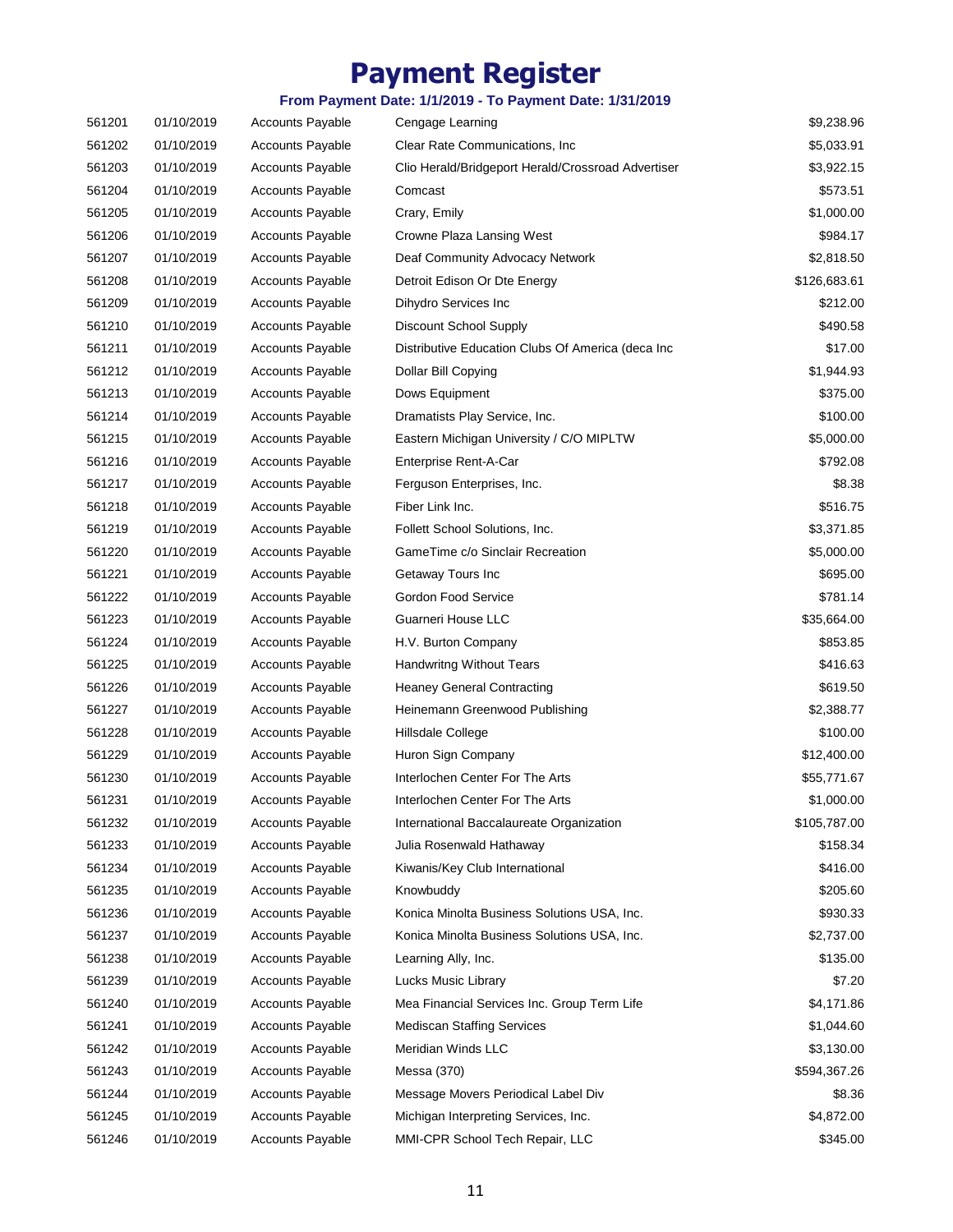| 561201 | 01/10/2019 | <b>Accounts Payable</b> | Cengage Learning                                   | \$9,238.96   |
|--------|------------|-------------------------|----------------------------------------------------|--------------|
| 561202 | 01/10/2019 | <b>Accounts Payable</b> | Clear Rate Communications, Inc.                    | \$5,033.91   |
| 561203 | 01/10/2019 | <b>Accounts Payable</b> | Clio Herald/Bridgeport Herald/Crossroad Advertiser | \$3,922.15   |
| 561204 | 01/10/2019 | <b>Accounts Payable</b> | Comcast                                            | \$573.51     |
| 561205 | 01/10/2019 | <b>Accounts Payable</b> | Crary, Emily                                       | \$1,000.00   |
| 561206 | 01/10/2019 | <b>Accounts Payable</b> | Crowne Plaza Lansing West                          | \$984.17     |
| 561207 | 01/10/2019 | <b>Accounts Payable</b> | Deaf Community Advocacy Network                    | \$2,818.50   |
| 561208 | 01/10/2019 | <b>Accounts Payable</b> | Detroit Edison Or Dte Energy                       | \$126,683.61 |
| 561209 | 01/10/2019 | <b>Accounts Payable</b> | Dihydro Services Inc                               | \$212.00     |
| 561210 | 01/10/2019 | <b>Accounts Payable</b> | Discount School Supply                             | \$490.58     |
| 561211 | 01/10/2019 | <b>Accounts Payable</b> | Distributive Education Clubs Of America (deca Inc  | \$17.00      |
| 561212 | 01/10/2019 | <b>Accounts Payable</b> | Dollar Bill Copying                                | \$1,944.93   |
| 561213 | 01/10/2019 | <b>Accounts Payable</b> | Dows Equipment                                     | \$375.00     |
| 561214 | 01/10/2019 | <b>Accounts Payable</b> | Dramatists Play Service, Inc.                      | \$100.00     |
| 561215 | 01/10/2019 | <b>Accounts Payable</b> | Eastern Michigan University / C/O MIPLTW           | \$5,000.00   |
| 561216 | 01/10/2019 | <b>Accounts Payable</b> | Enterprise Rent-A-Car                              | \$792.08     |
| 561217 | 01/10/2019 | <b>Accounts Payable</b> | Ferguson Enterprises, Inc.                         | \$8.38       |
| 561218 | 01/10/2019 | <b>Accounts Payable</b> | Fiber Link Inc.                                    | \$516.75     |
| 561219 | 01/10/2019 | <b>Accounts Payable</b> | Follett School Solutions, Inc.                     | \$3,371.85   |
| 561220 | 01/10/2019 | <b>Accounts Payable</b> | GameTime c/o Sinclair Recreation                   | \$5,000.00   |
| 561221 | 01/10/2019 | <b>Accounts Payable</b> | Getaway Tours Inc                                  | \$695.00     |
| 561222 | 01/10/2019 | <b>Accounts Payable</b> | Gordon Food Service                                | \$781.14     |
| 561223 | 01/10/2019 | <b>Accounts Payable</b> | Guarneri House LLC                                 | \$35,664.00  |
| 561224 | 01/10/2019 | Accounts Payable        | H.V. Burton Company                                | \$853.85     |
| 561225 | 01/10/2019 | <b>Accounts Payable</b> | <b>Handwritng Without Tears</b>                    | \$416.63     |
| 561226 | 01/10/2019 | <b>Accounts Payable</b> | <b>Heaney General Contracting</b>                  | \$619.50     |
| 561227 | 01/10/2019 | <b>Accounts Payable</b> | Heinemann Greenwood Publishing                     | \$2,388.77   |
| 561228 | 01/10/2019 | <b>Accounts Payable</b> | Hillsdale College                                  | \$100.00     |
| 561229 | 01/10/2019 | <b>Accounts Payable</b> | Huron Sign Company                                 | \$12,400.00  |
| 561230 | 01/10/2019 | <b>Accounts Payable</b> | Interlochen Center For The Arts                    | \$55,771.67  |
| 561231 | 01/10/2019 | <b>Accounts Payable</b> | Interlochen Center For The Arts                    | \$1,000.00   |
| 561232 | 01/10/2019 | <b>Accounts Payable</b> | International Baccalaureate Organization           | \$105,787.00 |
| 561233 | 01/10/2019 | Accounts Payable        | Julia Rosenwald Hathaway                           | \$158.34     |
| 561234 | 01/10/2019 | <b>Accounts Payable</b> | Kiwanis/Key Club International                     | \$416.00     |
| 561235 | 01/10/2019 | <b>Accounts Payable</b> | Knowbuddy                                          | \$205.60     |
| 561236 | 01/10/2019 | <b>Accounts Payable</b> | Konica Minolta Business Solutions USA, Inc.        | \$930.33     |
| 561237 | 01/10/2019 | <b>Accounts Payable</b> | Konica Minolta Business Solutions USA, Inc.        | \$2,737.00   |
| 561238 | 01/10/2019 | <b>Accounts Payable</b> | Learning Ally, Inc.                                | \$135.00     |
| 561239 | 01/10/2019 | <b>Accounts Payable</b> | Lucks Music Library                                | \$7.20       |
| 561240 | 01/10/2019 | Accounts Payable        | Mea Financial Services Inc. Group Term Life        | \$4,171.86   |
| 561241 | 01/10/2019 | <b>Accounts Payable</b> | <b>Mediscan Staffing Services</b>                  | \$1,044.60   |
| 561242 | 01/10/2019 | <b>Accounts Payable</b> | Meridian Winds LLC                                 | \$3,130.00   |
| 561243 | 01/10/2019 | <b>Accounts Payable</b> | Messa (370)                                        | \$594,367.26 |
| 561244 | 01/10/2019 | <b>Accounts Payable</b> | Message Movers Periodical Label Div                | \$8.36       |
| 561245 | 01/10/2019 | Accounts Payable        | Michigan Interpreting Services, Inc.               | \$4,872.00   |
| 561246 | 01/10/2019 | Accounts Payable        | MMI-CPR School Tech Repair, LLC                    | \$345.00     |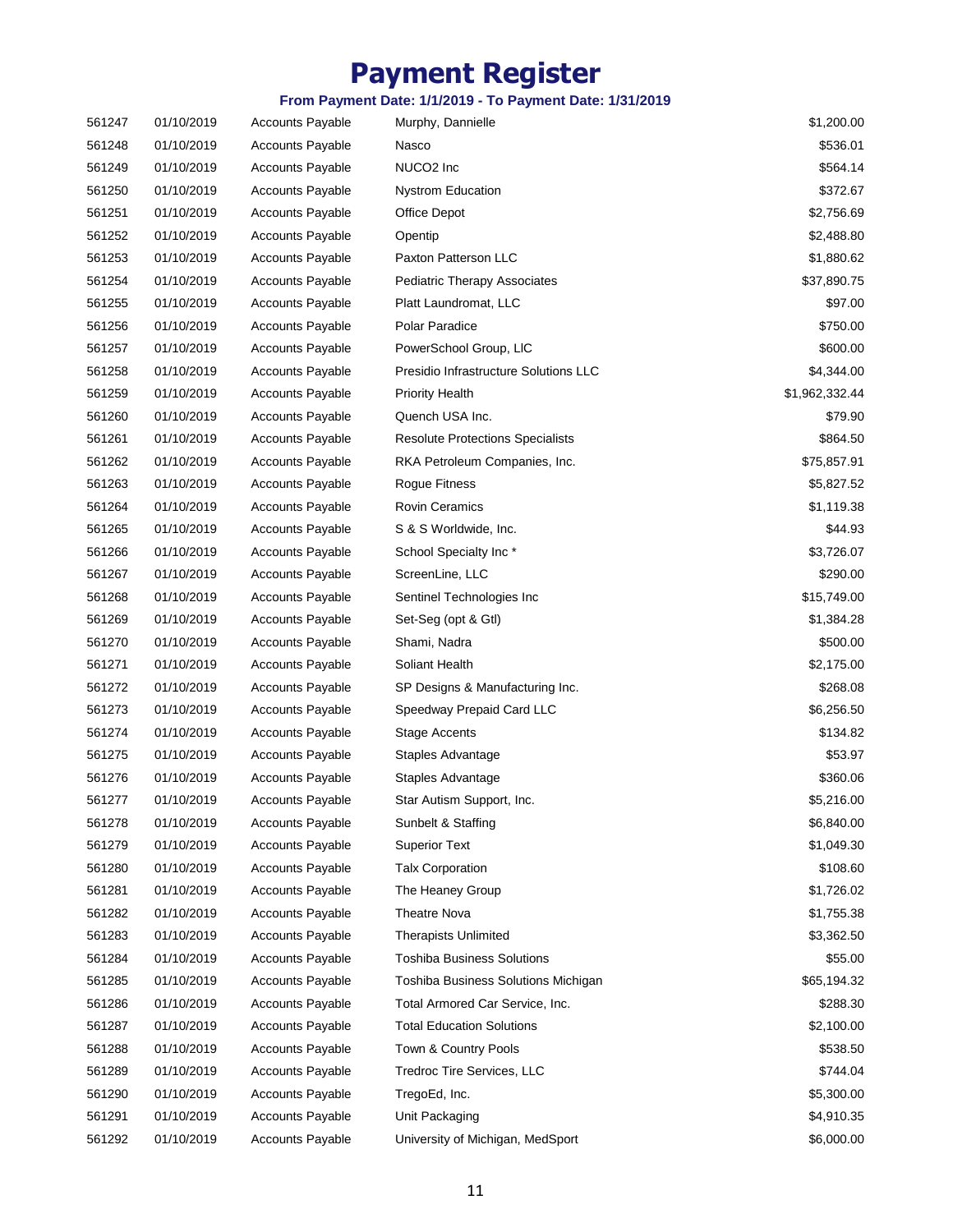| 561247 | 01/10/2019 | <b>Accounts Payable</b> | Murphy, Dannielle                       | \$1,200.00     |
|--------|------------|-------------------------|-----------------------------------------|----------------|
| 561248 | 01/10/2019 | <b>Accounts Payable</b> | Nasco                                   | \$536.01       |
| 561249 | 01/10/2019 | <b>Accounts Payable</b> | NUCO <sub>2</sub> Inc                   | \$564.14       |
| 561250 | 01/10/2019 | <b>Accounts Payable</b> | <b>Nystrom Education</b>                | \$372.67       |
| 561251 | 01/10/2019 | <b>Accounts Payable</b> | Office Depot                            | \$2,756.69     |
| 561252 | 01/10/2019 | <b>Accounts Payable</b> | Opentip                                 | \$2,488.80     |
| 561253 | 01/10/2019 | <b>Accounts Payable</b> | Paxton Patterson LLC                    | \$1,880.62     |
| 561254 | 01/10/2019 | <b>Accounts Payable</b> | <b>Pediatric Therapy Associates</b>     | \$37,890.75    |
| 561255 | 01/10/2019 | <b>Accounts Payable</b> | Platt Laundromat, LLC                   | \$97.00        |
| 561256 | 01/10/2019 | <b>Accounts Payable</b> | Polar Paradice                          | \$750.00       |
| 561257 | 01/10/2019 | <b>Accounts Payable</b> | PowerSchool Group, LIC                  | \$600.00       |
| 561258 | 01/10/2019 | Accounts Payable        | Presidio Infrastructure Solutions LLC   | \$4,344.00     |
| 561259 | 01/10/2019 | <b>Accounts Payable</b> | <b>Priority Health</b>                  | \$1,962,332.44 |
| 561260 | 01/10/2019 | <b>Accounts Payable</b> | Quench USA Inc.                         | \$79.90        |
| 561261 | 01/10/2019 | <b>Accounts Payable</b> | <b>Resolute Protections Specialists</b> | \$864.50       |
| 561262 | 01/10/2019 | <b>Accounts Payable</b> | RKA Petroleum Companies, Inc.           | \$75,857.91    |
| 561263 | 01/10/2019 | <b>Accounts Payable</b> | Rogue Fitness                           | \$5,827.52     |
| 561264 | 01/10/2019 | <b>Accounts Payable</b> | <b>Rovin Ceramics</b>                   | \$1,119.38     |
| 561265 | 01/10/2019 | Accounts Payable        | S & S Worldwide, Inc.                   | \$44.93        |
| 561266 | 01/10/2019 | <b>Accounts Payable</b> | School Specialty Inc*                   | \$3,726.07     |
| 561267 | 01/10/2019 | <b>Accounts Payable</b> | ScreenLine, LLC                         | \$290.00       |
| 561268 | 01/10/2019 | <b>Accounts Payable</b> | Sentinel Technologies Inc               | \$15,749.00    |
| 561269 | 01/10/2019 | <b>Accounts Payable</b> | Set-Seg (opt & Gtl)                     | \$1,384.28     |
| 561270 | 01/10/2019 | <b>Accounts Payable</b> | Shami, Nadra                            | \$500.00       |
| 561271 | 01/10/2019 | <b>Accounts Payable</b> | Soliant Health                          | \$2,175.00     |
| 561272 | 01/10/2019 | <b>Accounts Payable</b> | SP Designs & Manufacturing Inc.         | \$268.08       |
| 561273 | 01/10/2019 | <b>Accounts Payable</b> | Speedway Prepaid Card LLC               | \$6,256.50     |
| 561274 | 01/10/2019 | <b>Accounts Payable</b> | <b>Stage Accents</b>                    | \$134.82       |
| 561275 | 01/10/2019 | <b>Accounts Payable</b> | Staples Advantage                       | \$53.97        |
| 561276 | 01/10/2019 | <b>Accounts Payable</b> | Staples Advantage                       | \$360.06       |
| 561277 | 01/10/2019 | <b>Accounts Payable</b> | Star Autism Support, Inc.               | \$5,216.00     |
| 561278 | 01/10/2019 | <b>Accounts Payable</b> | Sunbelt & Staffing                      | \$6,840.00     |
| 561279 | 01/10/2019 | <b>Accounts Payable</b> | <b>Superior Text</b>                    | \$1,049.30     |
| 561280 | 01/10/2019 | <b>Accounts Payable</b> | <b>Talx Corporation</b>                 | \$108.60       |
| 561281 | 01/10/2019 | <b>Accounts Payable</b> | The Heaney Group                        | \$1,726.02     |
| 561282 | 01/10/2019 | <b>Accounts Payable</b> | <b>Theatre Nova</b>                     | \$1,755.38     |
| 561283 | 01/10/2019 | Accounts Payable        | <b>Therapists Unlimited</b>             | \$3,362.50     |
| 561284 | 01/10/2019 | Accounts Payable        | <b>Toshiba Business Solutions</b>       | \$55.00        |
| 561285 | 01/10/2019 | <b>Accounts Payable</b> | Toshiba Business Solutions Michigan     | \$65,194.32    |
| 561286 | 01/10/2019 | Accounts Payable        | Total Armored Car Service, Inc.         | \$288.30       |
| 561287 | 01/10/2019 | Accounts Payable        | <b>Total Education Solutions</b>        | \$2,100.00     |
| 561288 | 01/10/2019 | Accounts Payable        | Town & Country Pools                    | \$538.50       |
| 561289 | 01/10/2019 | Accounts Payable        | Tredroc Tire Services, LLC              | \$744.04       |
| 561290 | 01/10/2019 | <b>Accounts Payable</b> | TregoEd, Inc.                           | \$5,300.00     |
| 561291 | 01/10/2019 | Accounts Payable        | Unit Packaging                          | \$4,910.35     |
|        |            |                         |                                         |                |
| 561292 | 01/10/2019 | Accounts Payable        | University of Michigan, MedSport        | \$6,000.00     |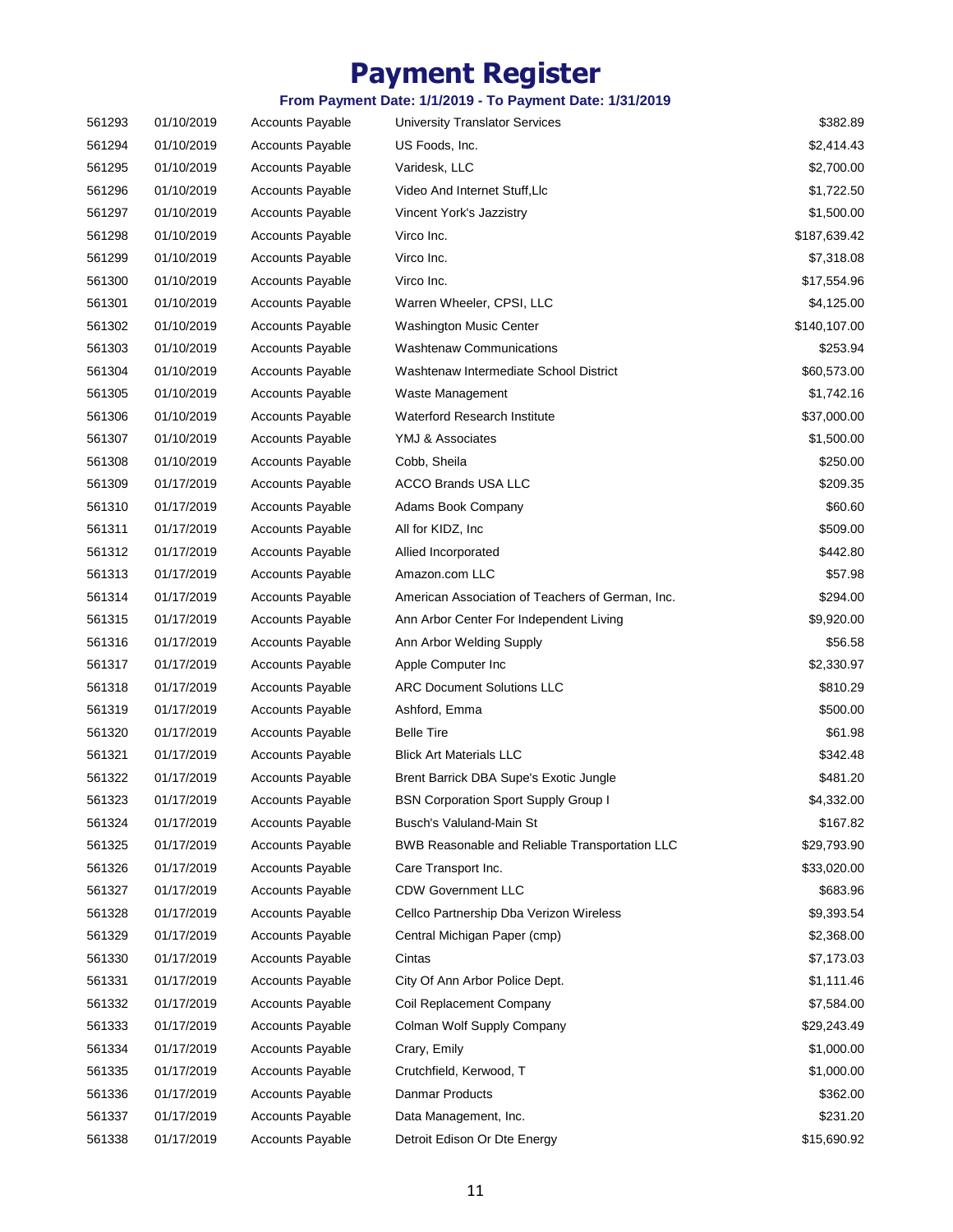| 561293 | 01/10/2019 | <b>Accounts Payable</b> | <b>University Translator Services</b>            | \$382.89     |
|--------|------------|-------------------------|--------------------------------------------------|--------------|
| 561294 | 01/10/2019 | <b>Accounts Payable</b> | US Foods, Inc.                                   | \$2,414.43   |
| 561295 | 01/10/2019 | <b>Accounts Payable</b> | Varidesk, LLC                                    | \$2,700.00   |
| 561296 | 01/10/2019 | <b>Accounts Payable</b> | Video And Internet Stuff, Llc                    | \$1,722.50   |
| 561297 | 01/10/2019 | <b>Accounts Payable</b> | Vincent York's Jazzistry                         | \$1,500.00   |
| 561298 | 01/10/2019 | Accounts Payable        | Virco Inc.                                       | \$187,639.42 |
| 561299 | 01/10/2019 | <b>Accounts Payable</b> | Virco Inc.                                       | \$7,318.08   |
| 561300 | 01/10/2019 | <b>Accounts Payable</b> | Virco Inc.                                       | \$17,554.96  |
| 561301 | 01/10/2019 | <b>Accounts Payable</b> | Warren Wheeler, CPSI, LLC                        | \$4,125.00   |
| 561302 | 01/10/2019 | <b>Accounts Payable</b> | <b>Washington Music Center</b>                   | \$140,107.00 |
| 561303 | 01/10/2019 | <b>Accounts Payable</b> | <b>Washtenaw Communications</b>                  | \$253.94     |
| 561304 | 01/10/2019 | Accounts Payable        | Washtenaw Intermediate School District           | \$60,573.00  |
| 561305 | 01/10/2019 | <b>Accounts Payable</b> | Waste Management                                 | \$1,742.16   |
| 561306 | 01/10/2019 | <b>Accounts Payable</b> | Waterford Research Institute                     | \$37,000.00  |
| 561307 | 01/10/2019 | <b>Accounts Payable</b> | YMJ & Associates                                 | \$1,500.00   |
| 561308 | 01/10/2019 | <b>Accounts Payable</b> | Cobb, Sheila                                     | \$250.00     |
| 561309 | 01/17/2019 | <b>Accounts Payable</b> | <b>ACCO Brands USA LLC</b>                       | \$209.35     |
| 561310 | 01/17/2019 | <b>Accounts Payable</b> | Adams Book Company                               | \$60.60      |
| 561311 | 01/17/2019 | Accounts Payable        | All for KIDZ, Inc.                               | \$509.00     |
| 561312 | 01/17/2019 | <b>Accounts Payable</b> | Allied Incorporated                              | \$442.80     |
| 561313 | 01/17/2019 | <b>Accounts Payable</b> | Amazon.com LLC                                   | \$57.98      |
| 561314 | 01/17/2019 | <b>Accounts Payable</b> | American Association of Teachers of German, Inc. | \$294.00     |
| 561315 | 01/17/2019 | <b>Accounts Payable</b> | Ann Arbor Center For Independent Living          | \$9,920.00   |
| 561316 | 01/17/2019 | <b>Accounts Payable</b> | Ann Arbor Welding Supply                         | \$56.58      |
| 561317 | 01/17/2019 | <b>Accounts Payable</b> | Apple Computer Inc                               | \$2,330.97   |
| 561318 | 01/17/2019 | <b>Accounts Payable</b> | <b>ARC Document Solutions LLC</b>                | \$810.29     |
| 561319 | 01/17/2019 | <b>Accounts Payable</b> | Ashford, Emma                                    | \$500.00     |
| 561320 | 01/17/2019 | <b>Accounts Payable</b> | <b>Belle Tire</b>                                | \$61.98      |
| 561321 | 01/17/2019 | <b>Accounts Payable</b> | <b>Blick Art Materials LLC</b>                   | \$342.48     |
| 561322 | 01/17/2019 | <b>Accounts Payable</b> | Brent Barrick DBA Supe's Exotic Jungle           | \$481.20     |
| 561323 | 01/17/2019 | <b>Accounts Payable</b> | <b>BSN Corporation Sport Supply Group I</b>      | \$4,332.00   |
| 561324 | 01/17/2019 | <b>Accounts Payable</b> | Busch's Valuland-Main St                         | \$167.82     |
| 561325 | 01/17/2019 | <b>Accounts Payable</b> | BWB Reasonable and Reliable Transportation LLC   | \$29,793.90  |
| 561326 | 01/17/2019 | <b>Accounts Payable</b> | Care Transport Inc.                              | \$33,020.00  |
| 561327 | 01/17/2019 | <b>Accounts Payable</b> | <b>CDW Government LLC</b>                        | \$683.96     |
| 561328 | 01/17/2019 | <b>Accounts Payable</b> | Cellco Partnership Dba Verizon Wireless          | \$9,393.54   |
| 561329 | 01/17/2019 | Accounts Payable        | Central Michigan Paper (cmp)                     | \$2,368.00   |
| 561330 | 01/17/2019 | Accounts Payable        | Cintas                                           | \$7,173.03   |
| 561331 | 01/17/2019 | <b>Accounts Payable</b> | City Of Ann Arbor Police Dept.                   | \$1,111.46   |
| 561332 | 01/17/2019 | Accounts Payable        | Coil Replacement Company                         | \$7,584.00   |
| 561333 | 01/17/2019 | <b>Accounts Payable</b> | Colman Wolf Supply Company                       | \$29,243.49  |
| 561334 | 01/17/2019 | <b>Accounts Payable</b> | Crary, Emily                                     | \$1,000.00   |
| 561335 | 01/17/2019 | Accounts Payable        | Crutchfield, Kerwood, T                          | \$1,000.00   |
| 561336 | 01/17/2019 | <b>Accounts Payable</b> | Danmar Products                                  | \$362.00     |
| 561337 | 01/17/2019 | Accounts Payable        | Data Management, Inc.                            | \$231.20     |
| 561338 | 01/17/2019 | Accounts Payable        | Detroit Edison Or Dte Energy                     | \$15,690.92  |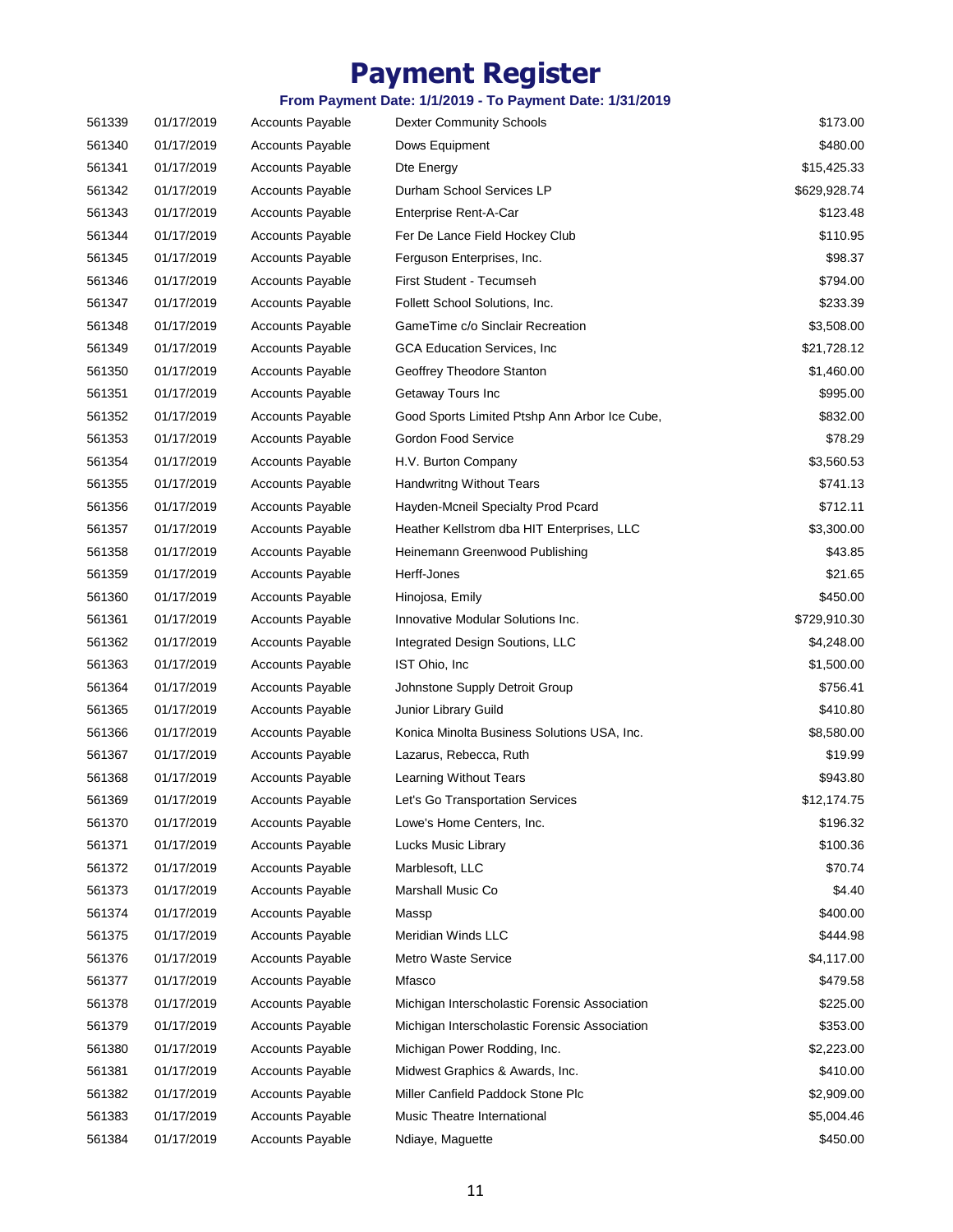| 561339 | 01/17/2019 | <b>Accounts Payable</b> | <b>Dexter Community Schools</b>               | \$173.00     |
|--------|------------|-------------------------|-----------------------------------------------|--------------|
| 561340 | 01/17/2019 | <b>Accounts Payable</b> | Dows Equipment                                | \$480.00     |
| 561341 | 01/17/2019 | <b>Accounts Payable</b> | Dte Energy                                    | \$15,425.33  |
| 561342 | 01/17/2019 | <b>Accounts Payable</b> | Durham School Services LP                     | \$629,928.74 |
| 561343 | 01/17/2019 | <b>Accounts Payable</b> | Enterprise Rent-A-Car                         | \$123.48     |
| 561344 | 01/17/2019 | <b>Accounts Payable</b> | Fer De Lance Field Hockey Club                | \$110.95     |
| 561345 | 01/17/2019 | Accounts Payable        | Ferguson Enterprises, Inc.                    | \$98.37      |
| 561346 | 01/17/2019 | <b>Accounts Payable</b> | First Student - Tecumseh                      | \$794.00     |
| 561347 | 01/17/2019 | <b>Accounts Payable</b> | Follett School Solutions, Inc.                | \$233.39     |
| 561348 | 01/17/2019 | <b>Accounts Payable</b> | GameTime c/o Sinclair Recreation              | \$3,508.00   |
| 561349 | 01/17/2019 | <b>Accounts Payable</b> | <b>GCA Education Services, Inc.</b>           | \$21,728.12  |
| 561350 | 01/17/2019 | <b>Accounts Payable</b> | Geoffrey Theodore Stanton                     | \$1,460.00   |
| 561351 | 01/17/2019 | <b>Accounts Payable</b> | Getaway Tours Inc                             | \$995.00     |
| 561352 | 01/17/2019 | <b>Accounts Payable</b> | Good Sports Limited Ptshp Ann Arbor Ice Cube, | \$832.00     |
| 561353 | 01/17/2019 | <b>Accounts Payable</b> | Gordon Food Service                           | \$78.29      |
| 561354 | 01/17/2019 | <b>Accounts Payable</b> | H.V. Burton Company                           | \$3,560.53   |
| 561355 | 01/17/2019 | <b>Accounts Payable</b> | <b>Handwritng Without Tears</b>               | \$741.13     |
| 561356 | 01/17/2019 | <b>Accounts Payable</b> | Hayden-Mcneil Specialty Prod Pcard            | \$712.11     |
| 561357 | 01/17/2019 | Accounts Payable        | Heather Kellstrom dba HIT Enterprises, LLC    | \$3,300.00   |
| 561358 | 01/17/2019 | <b>Accounts Payable</b> | Heinemann Greenwood Publishing                | \$43.85      |
| 561359 | 01/17/2019 | <b>Accounts Payable</b> | Herff-Jones                                   | \$21.65      |
| 561360 | 01/17/2019 | <b>Accounts Payable</b> | Hinojosa, Emily                               | \$450.00     |
| 561361 | 01/17/2019 | <b>Accounts Payable</b> | Innovative Modular Solutions Inc.             | \$729,910.30 |
| 561362 | 01/17/2019 | <b>Accounts Payable</b> | Integrated Design Soutions, LLC               | \$4,248.00   |
| 561363 | 01/17/2019 | <b>Accounts Payable</b> | IST Ohio, Inc.                                | \$1,500.00   |
| 561364 | 01/17/2019 | Accounts Payable        | Johnstone Supply Detroit Group                | \$756.41     |
| 561365 | 01/17/2019 | <b>Accounts Payable</b> | Junior Library Guild                          | \$410.80     |
| 561366 | 01/17/2019 | <b>Accounts Payable</b> | Konica Minolta Business Solutions USA, Inc.   | \$8,580.00   |
| 561367 | 01/17/2019 | <b>Accounts Payable</b> | Lazarus, Rebecca, Ruth                        | \$19.99      |
| 561368 | 01/17/2019 | <b>Accounts Payable</b> | <b>Learning Without Tears</b>                 | \$943.80     |
| 561369 | 01/17/2019 | <b>Accounts Payable</b> | Let's Go Transportation Services              | \$12,174.75  |
| 561370 | 01/17/2019 | <b>Accounts Payable</b> | Lowe's Home Centers, Inc.                     | \$196.32     |
| 561371 | 01/17/2019 | <b>Accounts Payable</b> | Lucks Music Library                           | \$100.36     |
| 561372 | 01/17/2019 | <b>Accounts Payable</b> | Marblesoft, LLC                               | \$70.74      |
| 561373 | 01/17/2019 | Accounts Payable        | Marshall Music Co                             | \$4.40       |
| 561374 | 01/17/2019 | <b>Accounts Payable</b> | Massp                                         | \$400.00     |
| 561375 | 01/17/2019 | <b>Accounts Payable</b> | Meridian Winds LLC                            | \$444.98     |
| 561376 | 01/17/2019 | Accounts Payable        | Metro Waste Service                           | \$4,117.00   |
| 561377 | 01/17/2019 | Accounts Payable        | Mfasco                                        | \$479.58     |
| 561378 | 01/17/2019 | <b>Accounts Payable</b> | Michigan Interscholastic Forensic Association | \$225.00     |
| 561379 | 01/17/2019 | <b>Accounts Payable</b> | Michigan Interscholastic Forensic Association | \$353.00     |
| 561380 | 01/17/2019 | <b>Accounts Payable</b> | Michigan Power Rodding, Inc.                  | \$2,223.00   |
| 561381 | 01/17/2019 | Accounts Payable        | Midwest Graphics & Awards, Inc.               | \$410.00     |
| 561382 | 01/17/2019 | <b>Accounts Payable</b> | Miller Canfield Paddock Stone Plc             | \$2,909.00   |
| 561383 | 01/17/2019 | Accounts Payable        | Music Theatre International                   | \$5,004.46   |
| 561384 | 01/17/2019 | <b>Accounts Payable</b> | Ndiaye, Maguette                              | \$450.00     |
|        |            |                         |                                               |              |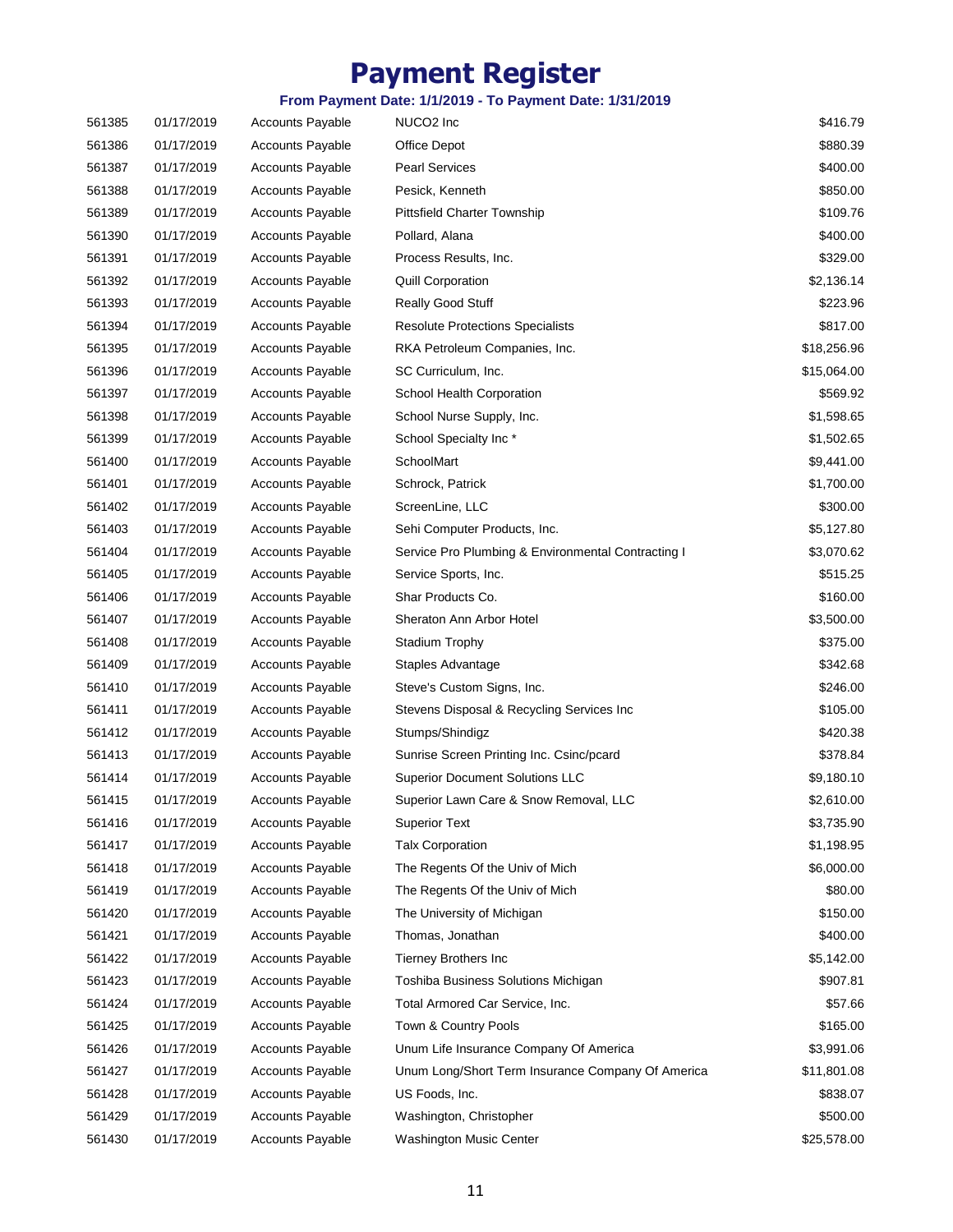| 561385 | 01/17/2019 | <b>Accounts Payable</b> | NUCO2 Inc                                          | \$416.79    |
|--------|------------|-------------------------|----------------------------------------------------|-------------|
| 561386 | 01/17/2019 | <b>Accounts Payable</b> | Office Depot                                       | \$880.39    |
| 561387 | 01/17/2019 | <b>Accounts Payable</b> | <b>Pearl Services</b>                              | \$400.00    |
| 561388 | 01/17/2019 | <b>Accounts Payable</b> | Pesick, Kenneth                                    | \$850.00    |
| 561389 | 01/17/2019 | <b>Accounts Payable</b> | <b>Pittsfield Charter Township</b>                 | \$109.76    |
| 561390 | 01/17/2019 | <b>Accounts Payable</b> | Pollard, Alana                                     | \$400.00    |
| 561391 | 01/17/2019 | <b>Accounts Payable</b> | Process Results, Inc.                              | \$329.00    |
| 561392 | 01/17/2019 | <b>Accounts Payable</b> | <b>Quill Corporation</b>                           | \$2,136.14  |
| 561393 | 01/17/2019 | <b>Accounts Payable</b> | Really Good Stuff                                  | \$223.96    |
| 561394 | 01/17/2019 | <b>Accounts Payable</b> | <b>Resolute Protections Specialists</b>            | \$817.00    |
| 561395 | 01/17/2019 | <b>Accounts Payable</b> | RKA Petroleum Companies, Inc.                      | \$18,256.96 |
| 561396 | 01/17/2019 | <b>Accounts Payable</b> | SC Curriculum, Inc.                                | \$15,064.00 |
| 561397 | 01/17/2019 | <b>Accounts Payable</b> | School Health Corporation                          | \$569.92    |
| 561398 | 01/17/2019 | <b>Accounts Payable</b> | School Nurse Supply, Inc.                          | \$1,598.65  |
| 561399 | 01/17/2019 | <b>Accounts Payable</b> | School Specialty Inc*                              | \$1,502.65  |
| 561400 | 01/17/2019 | <b>Accounts Payable</b> | SchoolMart                                         | \$9,441.00  |
| 561401 | 01/17/2019 | <b>Accounts Payable</b> | Schrock, Patrick                                   | \$1,700.00  |
| 561402 | 01/17/2019 | <b>Accounts Payable</b> | ScreenLine, LLC                                    | \$300.00    |
| 561403 | 01/17/2019 | <b>Accounts Payable</b> | Sehi Computer Products, Inc.                       | \$5,127.80  |
| 561404 | 01/17/2019 | <b>Accounts Payable</b> | Service Pro Plumbing & Environmental Contracting I | \$3,070.62  |
| 561405 | 01/17/2019 | <b>Accounts Payable</b> | Service Sports, Inc.                               | \$515.25    |
| 561406 | 01/17/2019 | <b>Accounts Payable</b> | Shar Products Co.                                  | \$160.00    |
| 561407 | 01/17/2019 | <b>Accounts Payable</b> | Sheraton Ann Arbor Hotel                           | \$3,500.00  |
| 561408 | 01/17/2019 | <b>Accounts Payable</b> | Stadium Trophy                                     | \$375.00    |
| 561409 | 01/17/2019 | <b>Accounts Payable</b> | Staples Advantage                                  | \$342.68    |
| 561410 | 01/17/2019 | <b>Accounts Payable</b> | Steve's Custom Signs, Inc.                         | \$246.00    |
| 561411 | 01/17/2019 | <b>Accounts Payable</b> | Stevens Disposal & Recycling Services Inc          | \$105.00    |
| 561412 | 01/17/2019 | <b>Accounts Payable</b> | Stumps/Shindigz                                    | \$420.38    |
| 561413 | 01/17/2019 | <b>Accounts Payable</b> | Sunrise Screen Printing Inc. Csinc/pcard           | \$378.84    |
| 561414 | 01/17/2019 | <b>Accounts Payable</b> | <b>Superior Document Solutions LLC</b>             | \$9,180.10  |
| 561415 | 01/17/2019 | <b>Accounts Payable</b> | Superior Lawn Care & Snow Removal, LLC             | \$2,610.00  |
| 561416 | 01/17/2019 | <b>Accounts Payable</b> | <b>Superior Text</b>                               | \$3,735.90  |
| 561417 | 01/17/2019 | <b>Accounts Payable</b> | <b>Talx Corporation</b>                            | \$1,198.95  |
| 561418 | 01/17/2019 | <b>Accounts Payable</b> | The Regents Of the Univ of Mich                    | \$6,000.00  |
| 561419 | 01/17/2019 | <b>Accounts Payable</b> | The Regents Of the Univ of Mich                    | \$80.00     |
| 561420 | 01/17/2019 | <b>Accounts Payable</b> | The University of Michigan                         | \$150.00    |
| 561421 | 01/17/2019 | <b>Accounts Payable</b> | Thomas, Jonathan                                   | \$400.00    |
| 561422 | 01/17/2019 | <b>Accounts Payable</b> | Tierney Brothers Inc                               | \$5,142.00  |
| 561423 | 01/17/2019 | Accounts Payable        | Toshiba Business Solutions Michigan                | \$907.81    |
| 561424 | 01/17/2019 | <b>Accounts Payable</b> | Total Armored Car Service, Inc.                    | \$57.66     |
| 561425 | 01/17/2019 | <b>Accounts Payable</b> | Town & Country Pools                               | \$165.00    |
| 561426 | 01/17/2019 | <b>Accounts Payable</b> | Unum Life Insurance Company Of America             | \$3,991.06  |
| 561427 | 01/17/2019 | <b>Accounts Payable</b> | Unum Long/Short Term Insurance Company Of America  | \$11,801.08 |
| 561428 | 01/17/2019 | <b>Accounts Payable</b> | US Foods, Inc.                                     | \$838.07    |
| 561429 | 01/17/2019 | Accounts Payable        | Washington, Christopher                            | \$500.00    |
| 561430 | 01/17/2019 | <b>Accounts Payable</b> | Washington Music Center                            | \$25,578.00 |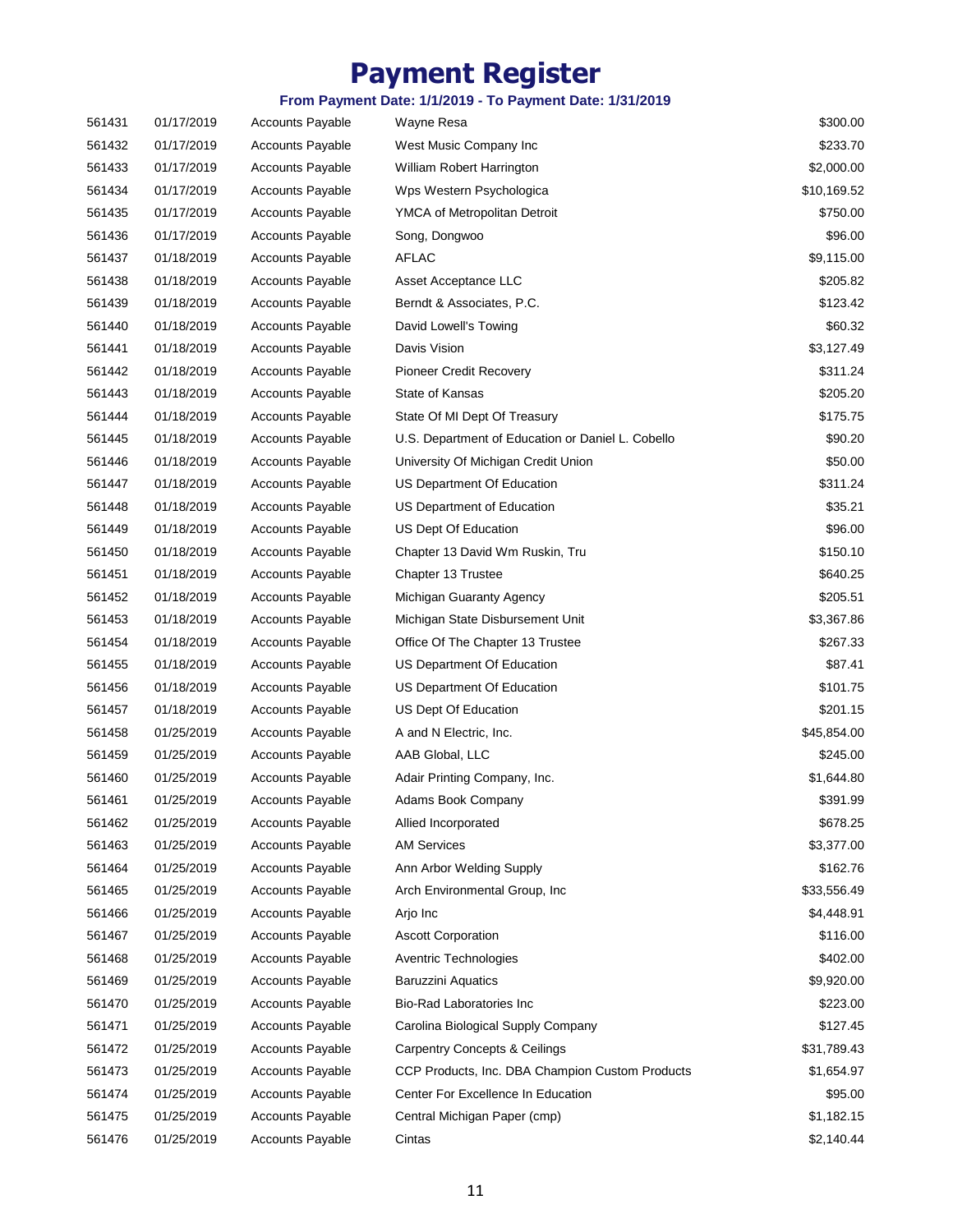| 561432<br>01/17/2019<br><b>Accounts Payable</b><br>West Music Company Inc<br>561433<br>01/17/2019<br><b>Accounts Payable</b><br>William Robert Harrington<br>561434<br>01/17/2019<br><b>Accounts Payable</b><br>Wps Western Psychologica<br>561435<br>01/17/2019<br><b>Accounts Payable</b><br>YMCA of Metropolitan Detroit<br>561436<br>01/17/2019<br><b>Accounts Payable</b><br>Song, Dongwoo<br><b>AFLAC</b><br>561437<br>01/18/2019<br><b>Accounts Payable</b><br>561438<br>01/18/2019<br><b>Accounts Payable</b><br>Asset Acceptance LLC<br>561439<br>01/18/2019<br>Berndt & Associates, P.C.<br><b>Accounts Payable</b><br>01/18/2019<br>David Lowell's Towing<br>561440<br><b>Accounts Payable</b><br>561441<br>01/18/2019<br><b>Accounts Payable</b><br>Davis Vision<br>01/18/2019<br><b>Accounts Payable</b><br>Pioneer Credit Recovery<br>561442<br>561443<br>01/18/2019<br><b>Accounts Payable</b><br>State of Kansas<br>01/18/2019<br>561444<br><b>Accounts Payable</b><br>State Of MI Dept Of Treasury<br>01/18/2019<br>U.S. Department of Education or Daniel L. Cobello<br>561445<br><b>Accounts Payable</b><br>561446<br>01/18/2019<br><b>Accounts Payable</b><br>University Of Michigan Credit Union<br>561447<br>01/18/2019<br><b>Accounts Payable</b><br>US Department Of Education<br>561448<br>01/18/2019<br><b>Accounts Payable</b><br>US Department of Education<br>561449<br>01/18/2019<br><b>Accounts Payable</b><br>US Dept Of Education<br>561450<br>01/18/2019<br><b>Accounts Payable</b><br>Chapter 13 David Wm Ruskin, Tru<br>Chapter 13 Trustee<br>561451<br>01/18/2019<br><b>Accounts Payable</b><br>561452<br>01/18/2019<br><b>Accounts Payable</b><br>Michigan Guaranty Agency<br>561453<br>01/18/2019<br><b>Accounts Payable</b><br>Michigan State Disbursement Unit<br>561454<br>01/18/2019<br><b>Accounts Payable</b><br>Office Of The Chapter 13 Trustee<br>561455<br>01/18/2019<br><b>Accounts Payable</b><br>US Department Of Education<br>561456<br>01/18/2019<br><b>Accounts Payable</b><br>US Department Of Education<br>561457<br>01/18/2019<br><b>Accounts Payable</b><br>US Dept Of Education<br>561458<br>01/25/2019<br>A and N Electric, Inc.<br><b>Accounts Payable</b><br>561459<br>01/25/2019<br><b>Accounts Payable</b><br>AAB Global, LLC<br>01/25/2019<br>561460<br><b>Accounts Payable</b><br>Adair Printing Company, Inc.<br>01/25/2019<br><b>Accounts Payable</b><br>561461<br>Adams Book Company<br>561462<br>01/25/2019<br><b>Accounts Payable</b><br>Allied Incorporated<br>561463<br>01/25/2019<br><b>AM Services</b><br><b>Accounts Payable</b><br>561464<br><b>Accounts Payable</b><br>Ann Arbor Welding Supply<br>01/25/2019<br>561465<br>01/25/2019<br><b>Accounts Payable</b><br>Arch Environmental Group, Inc.<br>561466<br>01/25/2019<br>Accounts Payable<br>Arjo Inc<br>561467<br>01/25/2019<br><b>Accounts Payable</b><br><b>Ascott Corporation</b><br><b>Accounts Payable</b><br>561468<br>01/25/2019<br>Aventric Technologies<br>561469<br>01/25/2019<br><b>Accounts Payable</b><br><b>Baruzzini Aquatics</b><br>561470<br>01/25/2019<br>Bio-Rad Laboratories Inc<br><b>Accounts Payable</b><br>561471<br>01/25/2019<br><b>Accounts Payable</b><br>Carolina Biological Supply Company<br>01/25/2019<br><b>Accounts Payable</b><br>561472<br><b>Carpentry Concepts &amp; Ceilings</b><br>01/25/2019<br><b>Accounts Payable</b><br>CCP Products, Inc. DBA Champion Custom Products<br>561473<br>Center For Excellence In Education<br>561474<br>01/25/2019<br><b>Accounts Payable</b><br>561475<br>01/25/2019<br>Accounts Payable<br>Central Michigan Paper (cmp)<br>561476<br>01/25/2019<br>Accounts Payable<br>Cintas | 561431 | 01/17/2019 | <b>Accounts Payable</b> | Wayne Resa | \$300.00    |
|-----------------------------------------------------------------------------------------------------------------------------------------------------------------------------------------------------------------------------------------------------------------------------------------------------------------------------------------------------------------------------------------------------------------------------------------------------------------------------------------------------------------------------------------------------------------------------------------------------------------------------------------------------------------------------------------------------------------------------------------------------------------------------------------------------------------------------------------------------------------------------------------------------------------------------------------------------------------------------------------------------------------------------------------------------------------------------------------------------------------------------------------------------------------------------------------------------------------------------------------------------------------------------------------------------------------------------------------------------------------------------------------------------------------------------------------------------------------------------------------------------------------------------------------------------------------------------------------------------------------------------------------------------------------------------------------------------------------------------------------------------------------------------------------------------------------------------------------------------------------------------------------------------------------------------------------------------------------------------------------------------------------------------------------------------------------------------------------------------------------------------------------------------------------------------------------------------------------------------------------------------------------------------------------------------------------------------------------------------------------------------------------------------------------------------------------------------------------------------------------------------------------------------------------------------------------------------------------------------------------------------------------------------------------------------------------------------------------------------------------------------------------------------------------------------------------------------------------------------------------------------------------------------------------------------------------------------------------------------------------------------------------------------------------------------------------------------------------------------------------------------------------------------------------------------------------------------------------------------------------------------------------------------------------------------------------------------------------------------------------------------------------------------------------------------------------------------------------------------------------------------------------------------------------------------------------------------------------------------------------------------------------------------------------------------------------------|--------|------------|-------------------------|------------|-------------|
|                                                                                                                                                                                                                                                                                                                                                                                                                                                                                                                                                                                                                                                                                                                                                                                                                                                                                                                                                                                                                                                                                                                                                                                                                                                                                                                                                                                                                                                                                                                                                                                                                                                                                                                                                                                                                                                                                                                                                                                                                                                                                                                                                                                                                                                                                                                                                                                                                                                                                                                                                                                                                                                                                                                                                                                                                                                                                                                                                                                                                                                                                                                                                                                                                                                                                                                                                                                                                                                                                                                                                                                                                                                                                               |        |            |                         |            | \$233.70    |
|                                                                                                                                                                                                                                                                                                                                                                                                                                                                                                                                                                                                                                                                                                                                                                                                                                                                                                                                                                                                                                                                                                                                                                                                                                                                                                                                                                                                                                                                                                                                                                                                                                                                                                                                                                                                                                                                                                                                                                                                                                                                                                                                                                                                                                                                                                                                                                                                                                                                                                                                                                                                                                                                                                                                                                                                                                                                                                                                                                                                                                                                                                                                                                                                                                                                                                                                                                                                                                                                                                                                                                                                                                                                                               |        |            |                         |            | \$2,000.00  |
|                                                                                                                                                                                                                                                                                                                                                                                                                                                                                                                                                                                                                                                                                                                                                                                                                                                                                                                                                                                                                                                                                                                                                                                                                                                                                                                                                                                                                                                                                                                                                                                                                                                                                                                                                                                                                                                                                                                                                                                                                                                                                                                                                                                                                                                                                                                                                                                                                                                                                                                                                                                                                                                                                                                                                                                                                                                                                                                                                                                                                                                                                                                                                                                                                                                                                                                                                                                                                                                                                                                                                                                                                                                                                               |        |            |                         |            | \$10,169.52 |
|                                                                                                                                                                                                                                                                                                                                                                                                                                                                                                                                                                                                                                                                                                                                                                                                                                                                                                                                                                                                                                                                                                                                                                                                                                                                                                                                                                                                                                                                                                                                                                                                                                                                                                                                                                                                                                                                                                                                                                                                                                                                                                                                                                                                                                                                                                                                                                                                                                                                                                                                                                                                                                                                                                                                                                                                                                                                                                                                                                                                                                                                                                                                                                                                                                                                                                                                                                                                                                                                                                                                                                                                                                                                                               |        |            |                         |            | \$750.00    |
|                                                                                                                                                                                                                                                                                                                                                                                                                                                                                                                                                                                                                                                                                                                                                                                                                                                                                                                                                                                                                                                                                                                                                                                                                                                                                                                                                                                                                                                                                                                                                                                                                                                                                                                                                                                                                                                                                                                                                                                                                                                                                                                                                                                                                                                                                                                                                                                                                                                                                                                                                                                                                                                                                                                                                                                                                                                                                                                                                                                                                                                                                                                                                                                                                                                                                                                                                                                                                                                                                                                                                                                                                                                                                               |        |            |                         |            | \$96.00     |
|                                                                                                                                                                                                                                                                                                                                                                                                                                                                                                                                                                                                                                                                                                                                                                                                                                                                                                                                                                                                                                                                                                                                                                                                                                                                                                                                                                                                                                                                                                                                                                                                                                                                                                                                                                                                                                                                                                                                                                                                                                                                                                                                                                                                                                                                                                                                                                                                                                                                                                                                                                                                                                                                                                                                                                                                                                                                                                                                                                                                                                                                                                                                                                                                                                                                                                                                                                                                                                                                                                                                                                                                                                                                                               |        |            |                         |            | \$9,115.00  |
|                                                                                                                                                                                                                                                                                                                                                                                                                                                                                                                                                                                                                                                                                                                                                                                                                                                                                                                                                                                                                                                                                                                                                                                                                                                                                                                                                                                                                                                                                                                                                                                                                                                                                                                                                                                                                                                                                                                                                                                                                                                                                                                                                                                                                                                                                                                                                                                                                                                                                                                                                                                                                                                                                                                                                                                                                                                                                                                                                                                                                                                                                                                                                                                                                                                                                                                                                                                                                                                                                                                                                                                                                                                                                               |        |            |                         |            | \$205.82    |
|                                                                                                                                                                                                                                                                                                                                                                                                                                                                                                                                                                                                                                                                                                                                                                                                                                                                                                                                                                                                                                                                                                                                                                                                                                                                                                                                                                                                                                                                                                                                                                                                                                                                                                                                                                                                                                                                                                                                                                                                                                                                                                                                                                                                                                                                                                                                                                                                                                                                                                                                                                                                                                                                                                                                                                                                                                                                                                                                                                                                                                                                                                                                                                                                                                                                                                                                                                                                                                                                                                                                                                                                                                                                                               |        |            |                         |            | \$123.42    |
|                                                                                                                                                                                                                                                                                                                                                                                                                                                                                                                                                                                                                                                                                                                                                                                                                                                                                                                                                                                                                                                                                                                                                                                                                                                                                                                                                                                                                                                                                                                                                                                                                                                                                                                                                                                                                                                                                                                                                                                                                                                                                                                                                                                                                                                                                                                                                                                                                                                                                                                                                                                                                                                                                                                                                                                                                                                                                                                                                                                                                                                                                                                                                                                                                                                                                                                                                                                                                                                                                                                                                                                                                                                                                               |        |            |                         |            | \$60.32     |
|                                                                                                                                                                                                                                                                                                                                                                                                                                                                                                                                                                                                                                                                                                                                                                                                                                                                                                                                                                                                                                                                                                                                                                                                                                                                                                                                                                                                                                                                                                                                                                                                                                                                                                                                                                                                                                                                                                                                                                                                                                                                                                                                                                                                                                                                                                                                                                                                                                                                                                                                                                                                                                                                                                                                                                                                                                                                                                                                                                                                                                                                                                                                                                                                                                                                                                                                                                                                                                                                                                                                                                                                                                                                                               |        |            |                         |            | \$3,127.49  |
|                                                                                                                                                                                                                                                                                                                                                                                                                                                                                                                                                                                                                                                                                                                                                                                                                                                                                                                                                                                                                                                                                                                                                                                                                                                                                                                                                                                                                                                                                                                                                                                                                                                                                                                                                                                                                                                                                                                                                                                                                                                                                                                                                                                                                                                                                                                                                                                                                                                                                                                                                                                                                                                                                                                                                                                                                                                                                                                                                                                                                                                                                                                                                                                                                                                                                                                                                                                                                                                                                                                                                                                                                                                                                               |        |            |                         |            | \$311.24    |
|                                                                                                                                                                                                                                                                                                                                                                                                                                                                                                                                                                                                                                                                                                                                                                                                                                                                                                                                                                                                                                                                                                                                                                                                                                                                                                                                                                                                                                                                                                                                                                                                                                                                                                                                                                                                                                                                                                                                                                                                                                                                                                                                                                                                                                                                                                                                                                                                                                                                                                                                                                                                                                                                                                                                                                                                                                                                                                                                                                                                                                                                                                                                                                                                                                                                                                                                                                                                                                                                                                                                                                                                                                                                                               |        |            |                         |            | \$205.20    |
|                                                                                                                                                                                                                                                                                                                                                                                                                                                                                                                                                                                                                                                                                                                                                                                                                                                                                                                                                                                                                                                                                                                                                                                                                                                                                                                                                                                                                                                                                                                                                                                                                                                                                                                                                                                                                                                                                                                                                                                                                                                                                                                                                                                                                                                                                                                                                                                                                                                                                                                                                                                                                                                                                                                                                                                                                                                                                                                                                                                                                                                                                                                                                                                                                                                                                                                                                                                                                                                                                                                                                                                                                                                                                               |        |            |                         |            | \$175.75    |
|                                                                                                                                                                                                                                                                                                                                                                                                                                                                                                                                                                                                                                                                                                                                                                                                                                                                                                                                                                                                                                                                                                                                                                                                                                                                                                                                                                                                                                                                                                                                                                                                                                                                                                                                                                                                                                                                                                                                                                                                                                                                                                                                                                                                                                                                                                                                                                                                                                                                                                                                                                                                                                                                                                                                                                                                                                                                                                                                                                                                                                                                                                                                                                                                                                                                                                                                                                                                                                                                                                                                                                                                                                                                                               |        |            |                         |            | \$90.20     |
|                                                                                                                                                                                                                                                                                                                                                                                                                                                                                                                                                                                                                                                                                                                                                                                                                                                                                                                                                                                                                                                                                                                                                                                                                                                                                                                                                                                                                                                                                                                                                                                                                                                                                                                                                                                                                                                                                                                                                                                                                                                                                                                                                                                                                                                                                                                                                                                                                                                                                                                                                                                                                                                                                                                                                                                                                                                                                                                                                                                                                                                                                                                                                                                                                                                                                                                                                                                                                                                                                                                                                                                                                                                                                               |        |            |                         |            | \$50.00     |
|                                                                                                                                                                                                                                                                                                                                                                                                                                                                                                                                                                                                                                                                                                                                                                                                                                                                                                                                                                                                                                                                                                                                                                                                                                                                                                                                                                                                                                                                                                                                                                                                                                                                                                                                                                                                                                                                                                                                                                                                                                                                                                                                                                                                                                                                                                                                                                                                                                                                                                                                                                                                                                                                                                                                                                                                                                                                                                                                                                                                                                                                                                                                                                                                                                                                                                                                                                                                                                                                                                                                                                                                                                                                                               |        |            |                         |            | \$311.24    |
|                                                                                                                                                                                                                                                                                                                                                                                                                                                                                                                                                                                                                                                                                                                                                                                                                                                                                                                                                                                                                                                                                                                                                                                                                                                                                                                                                                                                                                                                                                                                                                                                                                                                                                                                                                                                                                                                                                                                                                                                                                                                                                                                                                                                                                                                                                                                                                                                                                                                                                                                                                                                                                                                                                                                                                                                                                                                                                                                                                                                                                                                                                                                                                                                                                                                                                                                                                                                                                                                                                                                                                                                                                                                                               |        |            |                         |            | \$35.21     |
|                                                                                                                                                                                                                                                                                                                                                                                                                                                                                                                                                                                                                                                                                                                                                                                                                                                                                                                                                                                                                                                                                                                                                                                                                                                                                                                                                                                                                                                                                                                                                                                                                                                                                                                                                                                                                                                                                                                                                                                                                                                                                                                                                                                                                                                                                                                                                                                                                                                                                                                                                                                                                                                                                                                                                                                                                                                                                                                                                                                                                                                                                                                                                                                                                                                                                                                                                                                                                                                                                                                                                                                                                                                                                               |        |            |                         |            | \$96.00     |
|                                                                                                                                                                                                                                                                                                                                                                                                                                                                                                                                                                                                                                                                                                                                                                                                                                                                                                                                                                                                                                                                                                                                                                                                                                                                                                                                                                                                                                                                                                                                                                                                                                                                                                                                                                                                                                                                                                                                                                                                                                                                                                                                                                                                                                                                                                                                                                                                                                                                                                                                                                                                                                                                                                                                                                                                                                                                                                                                                                                                                                                                                                                                                                                                                                                                                                                                                                                                                                                                                                                                                                                                                                                                                               |        |            |                         |            | \$150.10    |
|                                                                                                                                                                                                                                                                                                                                                                                                                                                                                                                                                                                                                                                                                                                                                                                                                                                                                                                                                                                                                                                                                                                                                                                                                                                                                                                                                                                                                                                                                                                                                                                                                                                                                                                                                                                                                                                                                                                                                                                                                                                                                                                                                                                                                                                                                                                                                                                                                                                                                                                                                                                                                                                                                                                                                                                                                                                                                                                                                                                                                                                                                                                                                                                                                                                                                                                                                                                                                                                                                                                                                                                                                                                                                               |        |            |                         |            | \$640.25    |
|                                                                                                                                                                                                                                                                                                                                                                                                                                                                                                                                                                                                                                                                                                                                                                                                                                                                                                                                                                                                                                                                                                                                                                                                                                                                                                                                                                                                                                                                                                                                                                                                                                                                                                                                                                                                                                                                                                                                                                                                                                                                                                                                                                                                                                                                                                                                                                                                                                                                                                                                                                                                                                                                                                                                                                                                                                                                                                                                                                                                                                                                                                                                                                                                                                                                                                                                                                                                                                                                                                                                                                                                                                                                                               |        |            |                         |            | \$205.51    |
|                                                                                                                                                                                                                                                                                                                                                                                                                                                                                                                                                                                                                                                                                                                                                                                                                                                                                                                                                                                                                                                                                                                                                                                                                                                                                                                                                                                                                                                                                                                                                                                                                                                                                                                                                                                                                                                                                                                                                                                                                                                                                                                                                                                                                                                                                                                                                                                                                                                                                                                                                                                                                                                                                                                                                                                                                                                                                                                                                                                                                                                                                                                                                                                                                                                                                                                                                                                                                                                                                                                                                                                                                                                                                               |        |            |                         |            | \$3,367.86  |
|                                                                                                                                                                                                                                                                                                                                                                                                                                                                                                                                                                                                                                                                                                                                                                                                                                                                                                                                                                                                                                                                                                                                                                                                                                                                                                                                                                                                                                                                                                                                                                                                                                                                                                                                                                                                                                                                                                                                                                                                                                                                                                                                                                                                                                                                                                                                                                                                                                                                                                                                                                                                                                                                                                                                                                                                                                                                                                                                                                                                                                                                                                                                                                                                                                                                                                                                                                                                                                                                                                                                                                                                                                                                                               |        |            |                         |            | \$267.33    |
|                                                                                                                                                                                                                                                                                                                                                                                                                                                                                                                                                                                                                                                                                                                                                                                                                                                                                                                                                                                                                                                                                                                                                                                                                                                                                                                                                                                                                                                                                                                                                                                                                                                                                                                                                                                                                                                                                                                                                                                                                                                                                                                                                                                                                                                                                                                                                                                                                                                                                                                                                                                                                                                                                                                                                                                                                                                                                                                                                                                                                                                                                                                                                                                                                                                                                                                                                                                                                                                                                                                                                                                                                                                                                               |        |            |                         |            | \$87.41     |
|                                                                                                                                                                                                                                                                                                                                                                                                                                                                                                                                                                                                                                                                                                                                                                                                                                                                                                                                                                                                                                                                                                                                                                                                                                                                                                                                                                                                                                                                                                                                                                                                                                                                                                                                                                                                                                                                                                                                                                                                                                                                                                                                                                                                                                                                                                                                                                                                                                                                                                                                                                                                                                                                                                                                                                                                                                                                                                                                                                                                                                                                                                                                                                                                                                                                                                                                                                                                                                                                                                                                                                                                                                                                                               |        |            |                         |            | \$101.75    |
|                                                                                                                                                                                                                                                                                                                                                                                                                                                                                                                                                                                                                                                                                                                                                                                                                                                                                                                                                                                                                                                                                                                                                                                                                                                                                                                                                                                                                                                                                                                                                                                                                                                                                                                                                                                                                                                                                                                                                                                                                                                                                                                                                                                                                                                                                                                                                                                                                                                                                                                                                                                                                                                                                                                                                                                                                                                                                                                                                                                                                                                                                                                                                                                                                                                                                                                                                                                                                                                                                                                                                                                                                                                                                               |        |            |                         |            | \$201.15    |
|                                                                                                                                                                                                                                                                                                                                                                                                                                                                                                                                                                                                                                                                                                                                                                                                                                                                                                                                                                                                                                                                                                                                                                                                                                                                                                                                                                                                                                                                                                                                                                                                                                                                                                                                                                                                                                                                                                                                                                                                                                                                                                                                                                                                                                                                                                                                                                                                                                                                                                                                                                                                                                                                                                                                                                                                                                                                                                                                                                                                                                                                                                                                                                                                                                                                                                                                                                                                                                                                                                                                                                                                                                                                                               |        |            |                         |            | \$45,854.00 |
|                                                                                                                                                                                                                                                                                                                                                                                                                                                                                                                                                                                                                                                                                                                                                                                                                                                                                                                                                                                                                                                                                                                                                                                                                                                                                                                                                                                                                                                                                                                                                                                                                                                                                                                                                                                                                                                                                                                                                                                                                                                                                                                                                                                                                                                                                                                                                                                                                                                                                                                                                                                                                                                                                                                                                                                                                                                                                                                                                                                                                                                                                                                                                                                                                                                                                                                                                                                                                                                                                                                                                                                                                                                                                               |        |            |                         |            | \$245.00    |
|                                                                                                                                                                                                                                                                                                                                                                                                                                                                                                                                                                                                                                                                                                                                                                                                                                                                                                                                                                                                                                                                                                                                                                                                                                                                                                                                                                                                                                                                                                                                                                                                                                                                                                                                                                                                                                                                                                                                                                                                                                                                                                                                                                                                                                                                                                                                                                                                                                                                                                                                                                                                                                                                                                                                                                                                                                                                                                                                                                                                                                                                                                                                                                                                                                                                                                                                                                                                                                                                                                                                                                                                                                                                                               |        |            |                         |            | \$1,644.80  |
|                                                                                                                                                                                                                                                                                                                                                                                                                                                                                                                                                                                                                                                                                                                                                                                                                                                                                                                                                                                                                                                                                                                                                                                                                                                                                                                                                                                                                                                                                                                                                                                                                                                                                                                                                                                                                                                                                                                                                                                                                                                                                                                                                                                                                                                                                                                                                                                                                                                                                                                                                                                                                                                                                                                                                                                                                                                                                                                                                                                                                                                                                                                                                                                                                                                                                                                                                                                                                                                                                                                                                                                                                                                                                               |        |            |                         |            | \$391.99    |
|                                                                                                                                                                                                                                                                                                                                                                                                                                                                                                                                                                                                                                                                                                                                                                                                                                                                                                                                                                                                                                                                                                                                                                                                                                                                                                                                                                                                                                                                                                                                                                                                                                                                                                                                                                                                                                                                                                                                                                                                                                                                                                                                                                                                                                                                                                                                                                                                                                                                                                                                                                                                                                                                                                                                                                                                                                                                                                                                                                                                                                                                                                                                                                                                                                                                                                                                                                                                                                                                                                                                                                                                                                                                                               |        |            |                         |            | \$678.25    |
|                                                                                                                                                                                                                                                                                                                                                                                                                                                                                                                                                                                                                                                                                                                                                                                                                                                                                                                                                                                                                                                                                                                                                                                                                                                                                                                                                                                                                                                                                                                                                                                                                                                                                                                                                                                                                                                                                                                                                                                                                                                                                                                                                                                                                                                                                                                                                                                                                                                                                                                                                                                                                                                                                                                                                                                                                                                                                                                                                                                                                                                                                                                                                                                                                                                                                                                                                                                                                                                                                                                                                                                                                                                                                               |        |            |                         |            | \$3,377.00  |
|                                                                                                                                                                                                                                                                                                                                                                                                                                                                                                                                                                                                                                                                                                                                                                                                                                                                                                                                                                                                                                                                                                                                                                                                                                                                                                                                                                                                                                                                                                                                                                                                                                                                                                                                                                                                                                                                                                                                                                                                                                                                                                                                                                                                                                                                                                                                                                                                                                                                                                                                                                                                                                                                                                                                                                                                                                                                                                                                                                                                                                                                                                                                                                                                                                                                                                                                                                                                                                                                                                                                                                                                                                                                                               |        |            |                         |            | \$162.76    |
|                                                                                                                                                                                                                                                                                                                                                                                                                                                                                                                                                                                                                                                                                                                                                                                                                                                                                                                                                                                                                                                                                                                                                                                                                                                                                                                                                                                                                                                                                                                                                                                                                                                                                                                                                                                                                                                                                                                                                                                                                                                                                                                                                                                                                                                                                                                                                                                                                                                                                                                                                                                                                                                                                                                                                                                                                                                                                                                                                                                                                                                                                                                                                                                                                                                                                                                                                                                                                                                                                                                                                                                                                                                                                               |        |            |                         |            | \$33,556.49 |
|                                                                                                                                                                                                                                                                                                                                                                                                                                                                                                                                                                                                                                                                                                                                                                                                                                                                                                                                                                                                                                                                                                                                                                                                                                                                                                                                                                                                                                                                                                                                                                                                                                                                                                                                                                                                                                                                                                                                                                                                                                                                                                                                                                                                                                                                                                                                                                                                                                                                                                                                                                                                                                                                                                                                                                                                                                                                                                                                                                                                                                                                                                                                                                                                                                                                                                                                                                                                                                                                                                                                                                                                                                                                                               |        |            |                         |            | \$4,448.91  |
|                                                                                                                                                                                                                                                                                                                                                                                                                                                                                                                                                                                                                                                                                                                                                                                                                                                                                                                                                                                                                                                                                                                                                                                                                                                                                                                                                                                                                                                                                                                                                                                                                                                                                                                                                                                                                                                                                                                                                                                                                                                                                                                                                                                                                                                                                                                                                                                                                                                                                                                                                                                                                                                                                                                                                                                                                                                                                                                                                                                                                                                                                                                                                                                                                                                                                                                                                                                                                                                                                                                                                                                                                                                                                               |        |            |                         |            | \$116.00    |
|                                                                                                                                                                                                                                                                                                                                                                                                                                                                                                                                                                                                                                                                                                                                                                                                                                                                                                                                                                                                                                                                                                                                                                                                                                                                                                                                                                                                                                                                                                                                                                                                                                                                                                                                                                                                                                                                                                                                                                                                                                                                                                                                                                                                                                                                                                                                                                                                                                                                                                                                                                                                                                                                                                                                                                                                                                                                                                                                                                                                                                                                                                                                                                                                                                                                                                                                                                                                                                                                                                                                                                                                                                                                                               |        |            |                         |            | \$402.00    |
|                                                                                                                                                                                                                                                                                                                                                                                                                                                                                                                                                                                                                                                                                                                                                                                                                                                                                                                                                                                                                                                                                                                                                                                                                                                                                                                                                                                                                                                                                                                                                                                                                                                                                                                                                                                                                                                                                                                                                                                                                                                                                                                                                                                                                                                                                                                                                                                                                                                                                                                                                                                                                                                                                                                                                                                                                                                                                                                                                                                                                                                                                                                                                                                                                                                                                                                                                                                                                                                                                                                                                                                                                                                                                               |        |            |                         |            | \$9,920.00  |
|                                                                                                                                                                                                                                                                                                                                                                                                                                                                                                                                                                                                                                                                                                                                                                                                                                                                                                                                                                                                                                                                                                                                                                                                                                                                                                                                                                                                                                                                                                                                                                                                                                                                                                                                                                                                                                                                                                                                                                                                                                                                                                                                                                                                                                                                                                                                                                                                                                                                                                                                                                                                                                                                                                                                                                                                                                                                                                                                                                                                                                                                                                                                                                                                                                                                                                                                                                                                                                                                                                                                                                                                                                                                                               |        |            |                         |            | \$223.00    |
|                                                                                                                                                                                                                                                                                                                                                                                                                                                                                                                                                                                                                                                                                                                                                                                                                                                                                                                                                                                                                                                                                                                                                                                                                                                                                                                                                                                                                                                                                                                                                                                                                                                                                                                                                                                                                                                                                                                                                                                                                                                                                                                                                                                                                                                                                                                                                                                                                                                                                                                                                                                                                                                                                                                                                                                                                                                                                                                                                                                                                                                                                                                                                                                                                                                                                                                                                                                                                                                                                                                                                                                                                                                                                               |        |            |                         |            | \$127.45    |
|                                                                                                                                                                                                                                                                                                                                                                                                                                                                                                                                                                                                                                                                                                                                                                                                                                                                                                                                                                                                                                                                                                                                                                                                                                                                                                                                                                                                                                                                                                                                                                                                                                                                                                                                                                                                                                                                                                                                                                                                                                                                                                                                                                                                                                                                                                                                                                                                                                                                                                                                                                                                                                                                                                                                                                                                                                                                                                                                                                                                                                                                                                                                                                                                                                                                                                                                                                                                                                                                                                                                                                                                                                                                                               |        |            |                         |            | \$31,789.43 |
|                                                                                                                                                                                                                                                                                                                                                                                                                                                                                                                                                                                                                                                                                                                                                                                                                                                                                                                                                                                                                                                                                                                                                                                                                                                                                                                                                                                                                                                                                                                                                                                                                                                                                                                                                                                                                                                                                                                                                                                                                                                                                                                                                                                                                                                                                                                                                                                                                                                                                                                                                                                                                                                                                                                                                                                                                                                                                                                                                                                                                                                                                                                                                                                                                                                                                                                                                                                                                                                                                                                                                                                                                                                                                               |        |            |                         |            | \$1,654.97  |
|                                                                                                                                                                                                                                                                                                                                                                                                                                                                                                                                                                                                                                                                                                                                                                                                                                                                                                                                                                                                                                                                                                                                                                                                                                                                                                                                                                                                                                                                                                                                                                                                                                                                                                                                                                                                                                                                                                                                                                                                                                                                                                                                                                                                                                                                                                                                                                                                                                                                                                                                                                                                                                                                                                                                                                                                                                                                                                                                                                                                                                                                                                                                                                                                                                                                                                                                                                                                                                                                                                                                                                                                                                                                                               |        |            |                         |            | \$95.00     |
|                                                                                                                                                                                                                                                                                                                                                                                                                                                                                                                                                                                                                                                                                                                                                                                                                                                                                                                                                                                                                                                                                                                                                                                                                                                                                                                                                                                                                                                                                                                                                                                                                                                                                                                                                                                                                                                                                                                                                                                                                                                                                                                                                                                                                                                                                                                                                                                                                                                                                                                                                                                                                                                                                                                                                                                                                                                                                                                                                                                                                                                                                                                                                                                                                                                                                                                                                                                                                                                                                                                                                                                                                                                                                               |        |            |                         |            | \$1,182.15  |
|                                                                                                                                                                                                                                                                                                                                                                                                                                                                                                                                                                                                                                                                                                                                                                                                                                                                                                                                                                                                                                                                                                                                                                                                                                                                                                                                                                                                                                                                                                                                                                                                                                                                                                                                                                                                                                                                                                                                                                                                                                                                                                                                                                                                                                                                                                                                                                                                                                                                                                                                                                                                                                                                                                                                                                                                                                                                                                                                                                                                                                                                                                                                                                                                                                                                                                                                                                                                                                                                                                                                                                                                                                                                                               |        |            |                         |            | \$2,140.44  |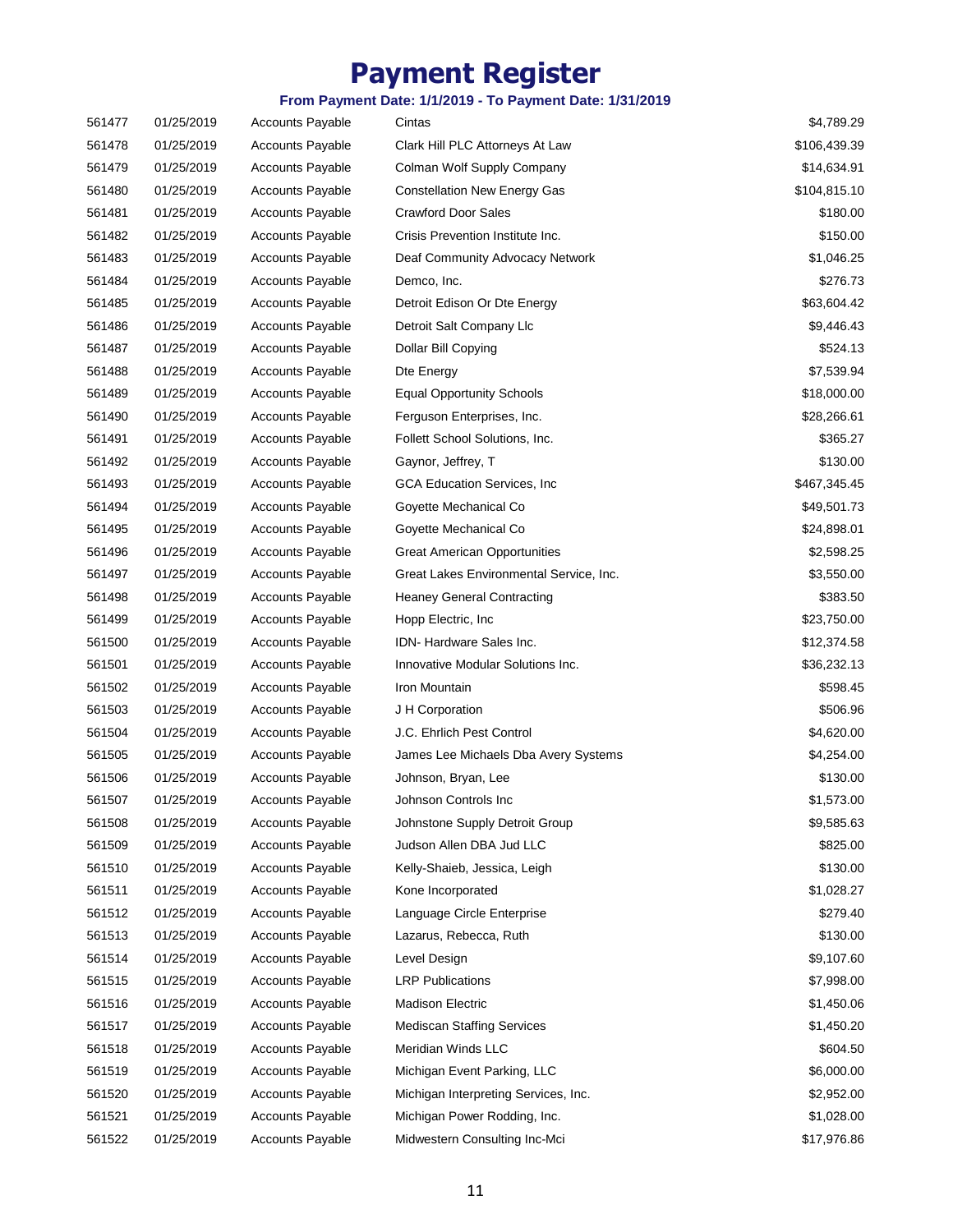| 561477 | 01/25/2019 | <b>Accounts Payable</b> | Cintas                                  | \$4,789.29   |
|--------|------------|-------------------------|-----------------------------------------|--------------|
| 561478 | 01/25/2019 | <b>Accounts Payable</b> | Clark Hill PLC Attorneys At Law         | \$106,439.39 |
| 561479 | 01/25/2019 | <b>Accounts Payable</b> | Colman Wolf Supply Company              | \$14,634.91  |
| 561480 | 01/25/2019 | <b>Accounts Payable</b> | <b>Constellation New Energy Gas</b>     | \$104,815.10 |
| 561481 | 01/25/2019 | <b>Accounts Payable</b> | <b>Crawford Door Sales</b>              | \$180.00     |
| 561482 | 01/25/2019 | <b>Accounts Payable</b> | Crisis Prevention Institute Inc.        | \$150.00     |
| 561483 | 01/25/2019 | <b>Accounts Payable</b> | Deaf Community Advocacy Network         | \$1,046.25   |
| 561484 | 01/25/2019 | <b>Accounts Payable</b> | Demco, Inc.                             | \$276.73     |
| 561485 | 01/25/2019 | <b>Accounts Payable</b> | Detroit Edison Or Dte Energy            | \$63,604.42  |
| 561486 | 01/25/2019 | <b>Accounts Payable</b> | Detroit Salt Company Llc                | \$9,446.43   |
| 561487 | 01/25/2019 | <b>Accounts Payable</b> | Dollar Bill Copying                     | \$524.13     |
| 561488 | 01/25/2019 | <b>Accounts Payable</b> | Dte Energy                              | \$7,539.94   |
| 561489 | 01/25/2019 | <b>Accounts Payable</b> | <b>Equal Opportunity Schools</b>        | \$18,000.00  |
| 561490 | 01/25/2019 | <b>Accounts Payable</b> | Ferguson Enterprises, Inc.              | \$28,266.61  |
| 561491 | 01/25/2019 | <b>Accounts Payable</b> | Follett School Solutions, Inc.          | \$365.27     |
| 561492 | 01/25/2019 | <b>Accounts Payable</b> | Gaynor, Jeffrey, T                      | \$130.00     |
| 561493 | 01/25/2019 | <b>Accounts Payable</b> | GCA Education Services, Inc.            | \$467,345.45 |
| 561494 | 01/25/2019 | <b>Accounts Payable</b> | Goyette Mechanical Co                   | \$49,501.73  |
| 561495 | 01/25/2019 | <b>Accounts Payable</b> | Goyette Mechanical Co                   | \$24,898.01  |
| 561496 | 01/25/2019 | <b>Accounts Payable</b> | <b>Great American Opportunities</b>     | \$2,598.25   |
| 561497 | 01/25/2019 | <b>Accounts Payable</b> | Great Lakes Environmental Service, Inc. | \$3,550.00   |
| 561498 | 01/25/2019 | <b>Accounts Payable</b> | <b>Heaney General Contracting</b>       | \$383.50     |
| 561499 | 01/25/2019 | <b>Accounts Payable</b> | Hopp Electric, Inc.                     | \$23,750.00  |
| 561500 | 01/25/2019 | <b>Accounts Payable</b> | IDN-Hardware Sales Inc.                 | \$12,374.58  |
| 561501 | 01/25/2019 | <b>Accounts Payable</b> | Innovative Modular Solutions Inc.       | \$36,232.13  |
| 561502 | 01/25/2019 | <b>Accounts Payable</b> | Iron Mountain                           | \$598.45     |
| 561503 | 01/25/2019 | <b>Accounts Payable</b> | J H Corporation                         | \$506.96     |
| 561504 | 01/25/2019 | <b>Accounts Payable</b> | J.C. Ehrlich Pest Control               | \$4,620.00   |
| 561505 | 01/25/2019 | <b>Accounts Payable</b> | James Lee Michaels Dba Avery Systems    | \$4,254.00   |
| 561506 | 01/25/2019 | <b>Accounts Payable</b> | Johnson, Bryan, Lee                     | \$130.00     |
| 561507 | 01/25/2019 | <b>Accounts Payable</b> | Johnson Controls Inc                    | \$1,573.00   |
| 561508 | 01/25/2019 | <b>Accounts Payable</b> | Johnstone Supply Detroit Group          | \$9,585.63   |
| 561509 | 01/25/2019 | <b>Accounts Payable</b> | Judson Allen DBA Jud LLC                | \$825.00     |
| 561510 | 01/25/2019 | <b>Accounts Payable</b> | Kelly-Shaieb, Jessica, Leigh            | \$130.00     |
| 561511 | 01/25/2019 | <b>Accounts Payable</b> | Kone Incorporated                       | \$1,028.27   |
| 561512 | 01/25/2019 | <b>Accounts Payable</b> | Language Circle Enterprise              | \$279.40     |
| 561513 | 01/25/2019 | <b>Accounts Payable</b> | Lazarus, Rebecca, Ruth                  | \$130.00     |
| 561514 | 01/25/2019 | <b>Accounts Payable</b> | Level Design                            | \$9,107.60   |
| 561515 | 01/25/2019 | <b>Accounts Payable</b> | <b>LRP Publications</b>                 | \$7,998.00   |
| 561516 | 01/25/2019 | <b>Accounts Payable</b> | <b>Madison Electric</b>                 | \$1,450.06   |
| 561517 | 01/25/2019 | <b>Accounts Payable</b> | <b>Mediscan Staffing Services</b>       | \$1,450.20   |
| 561518 | 01/25/2019 | <b>Accounts Payable</b> | Meridian Winds LLC                      | \$604.50     |
| 561519 | 01/25/2019 | <b>Accounts Payable</b> | Michigan Event Parking, LLC             | \$6,000.00   |
| 561520 | 01/25/2019 | <b>Accounts Payable</b> | Michigan Interpreting Services, Inc.    | \$2,952.00   |
| 561521 | 01/25/2019 | Accounts Payable        | Michigan Power Rodding, Inc.            | \$1,028.00   |
| 561522 | 01/25/2019 | <b>Accounts Payable</b> | Midwestern Consulting Inc-Mci           | \$17,976.86  |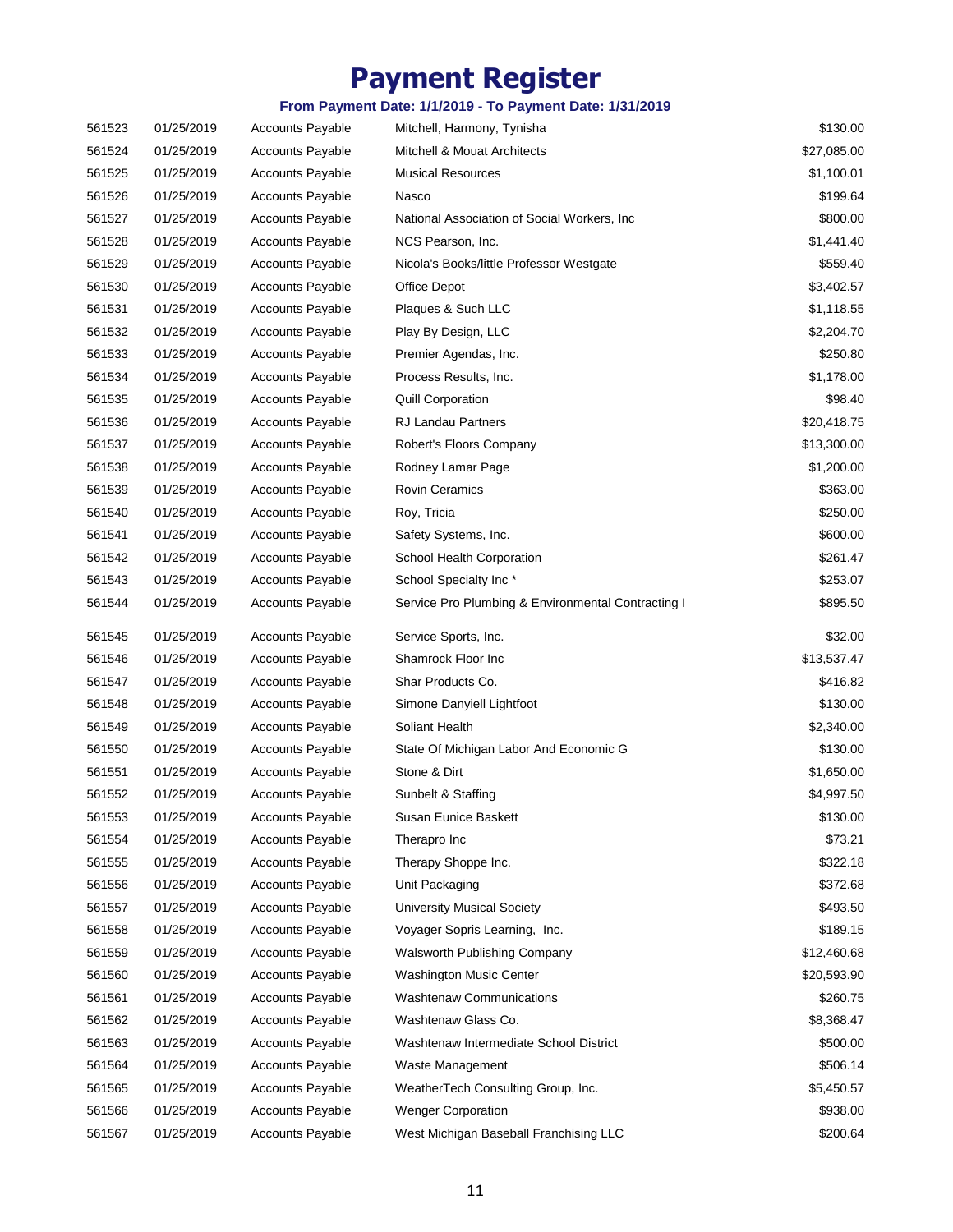| 561523 | 01/25/2019 | <b>Accounts Payable</b> | Mitchell, Harmony, Tynisha                         | \$130.00    |
|--------|------------|-------------------------|----------------------------------------------------|-------------|
| 561524 | 01/25/2019 | <b>Accounts Payable</b> | Mitchell & Mouat Architects                        | \$27,085.00 |
| 561525 | 01/25/2019 | <b>Accounts Payable</b> | <b>Musical Resources</b>                           | \$1,100.01  |
| 561526 | 01/25/2019 | <b>Accounts Payable</b> | Nasco                                              | \$199.64    |
| 561527 | 01/25/2019 | <b>Accounts Payable</b> | National Association of Social Workers, Inc.       | \$800.00    |
| 561528 | 01/25/2019 | <b>Accounts Payable</b> | NCS Pearson, Inc.                                  | \$1,441.40  |
| 561529 | 01/25/2019 | <b>Accounts Payable</b> | Nicola's Books/little Professor Westgate           | \$559.40    |
| 561530 | 01/25/2019 | <b>Accounts Payable</b> | Office Depot                                       | \$3,402.57  |
| 561531 | 01/25/2019 | <b>Accounts Payable</b> | Plaques & Such LLC                                 | \$1,118.55  |
| 561532 | 01/25/2019 | <b>Accounts Payable</b> | Play By Design, LLC                                | \$2,204.70  |
| 561533 | 01/25/2019 | <b>Accounts Payable</b> | Premier Agendas, Inc.                              | \$250.80    |
| 561534 | 01/25/2019 | <b>Accounts Payable</b> | Process Results, Inc.                              | \$1,178.00  |
| 561535 | 01/25/2019 | <b>Accounts Payable</b> | <b>Quill Corporation</b>                           | \$98.40     |
| 561536 | 01/25/2019 | <b>Accounts Payable</b> | RJ Landau Partners                                 | \$20,418.75 |
| 561537 | 01/25/2019 | <b>Accounts Payable</b> | Robert's Floors Company                            | \$13,300.00 |
| 561538 | 01/25/2019 | <b>Accounts Payable</b> | Rodney Lamar Page                                  | \$1,200.00  |
| 561539 | 01/25/2019 | <b>Accounts Payable</b> | <b>Rovin Ceramics</b>                              | \$363.00    |
| 561540 | 01/25/2019 | <b>Accounts Payable</b> | Roy, Tricia                                        | \$250.00    |
| 561541 | 01/25/2019 | <b>Accounts Payable</b> | Safety Systems, Inc.                               | \$600.00    |
| 561542 | 01/25/2019 | <b>Accounts Payable</b> | School Health Corporation                          | \$261.47    |
| 561543 | 01/25/2019 | <b>Accounts Payable</b> | School Specialty Inc*                              | \$253.07    |
| 561544 | 01/25/2019 | <b>Accounts Payable</b> | Service Pro Plumbing & Environmental Contracting I | \$895.50    |
| 561545 | 01/25/2019 | <b>Accounts Payable</b> | Service Sports, Inc.                               | \$32.00     |
| 561546 | 01/25/2019 | <b>Accounts Payable</b> | Shamrock Floor Inc                                 | \$13,537.47 |
| 561547 | 01/25/2019 | Accounts Payable        | Shar Products Co.                                  | \$416.82    |
| 561548 | 01/25/2019 | Accounts Payable        | Simone Danyiell Lightfoot                          | \$130.00    |
| 561549 | 01/25/2019 | <b>Accounts Payable</b> | Soliant Health                                     | \$2,340.00  |
| 561550 | 01/25/2019 | Accounts Payable        | State Of Michigan Labor And Economic G             | \$130.00    |
| 561551 | 01/25/2019 | <b>Accounts Payable</b> | Stone & Dirt                                       | \$1,650.00  |
| 561552 | 01/25/2019 | <b>Accounts Payable</b> | Sunbelt & Staffing                                 | \$4,997.50  |
| 561553 | 01/25/2019 | <b>Accounts Payable</b> | Susan Eunice Baskett                               | \$130.00    |
| 561554 | 01/25/2019 | <b>Accounts Payable</b> | Therapro Inc                                       | \$73.21     |
| 561555 | 01/25/2019 | <b>Accounts Payable</b> | Therapy Shoppe Inc.                                | \$322.18    |
| 561556 | 01/25/2019 | <b>Accounts Payable</b> | Unit Packaging                                     | \$372.68    |
| 561557 | 01/25/2019 | Accounts Payable        | <b>University Musical Society</b>                  | \$493.50    |
| 561558 | 01/25/2019 | <b>Accounts Payable</b> | Voyager Sopris Learning, Inc.                      | \$189.15    |
| 561559 | 01/25/2019 | <b>Accounts Payable</b> | Walsworth Publishing Company                       | \$12,460.68 |
| 561560 | 01/25/2019 | <b>Accounts Payable</b> | Washington Music Center                            | \$20,593.90 |
| 561561 | 01/25/2019 | <b>Accounts Payable</b> | <b>Washtenaw Communications</b>                    | \$260.75    |
| 561562 | 01/25/2019 | <b>Accounts Payable</b> | Washtenaw Glass Co.                                | \$8,368.47  |
| 561563 | 01/25/2019 | <b>Accounts Payable</b> | Washtenaw Intermediate School District             | \$500.00    |
| 561564 | 01/25/2019 | Accounts Payable        | Waste Management                                   | \$506.14    |
| 561565 | 01/25/2019 | <b>Accounts Payable</b> | WeatherTech Consulting Group, Inc.                 | \$5,450.57  |
| 561566 | 01/25/2019 | <b>Accounts Payable</b> | <b>Wenger Corporation</b>                          | \$938.00    |
| 561567 | 01/25/2019 | Accounts Payable        | West Michigan Baseball Franchising LLC             | \$200.64    |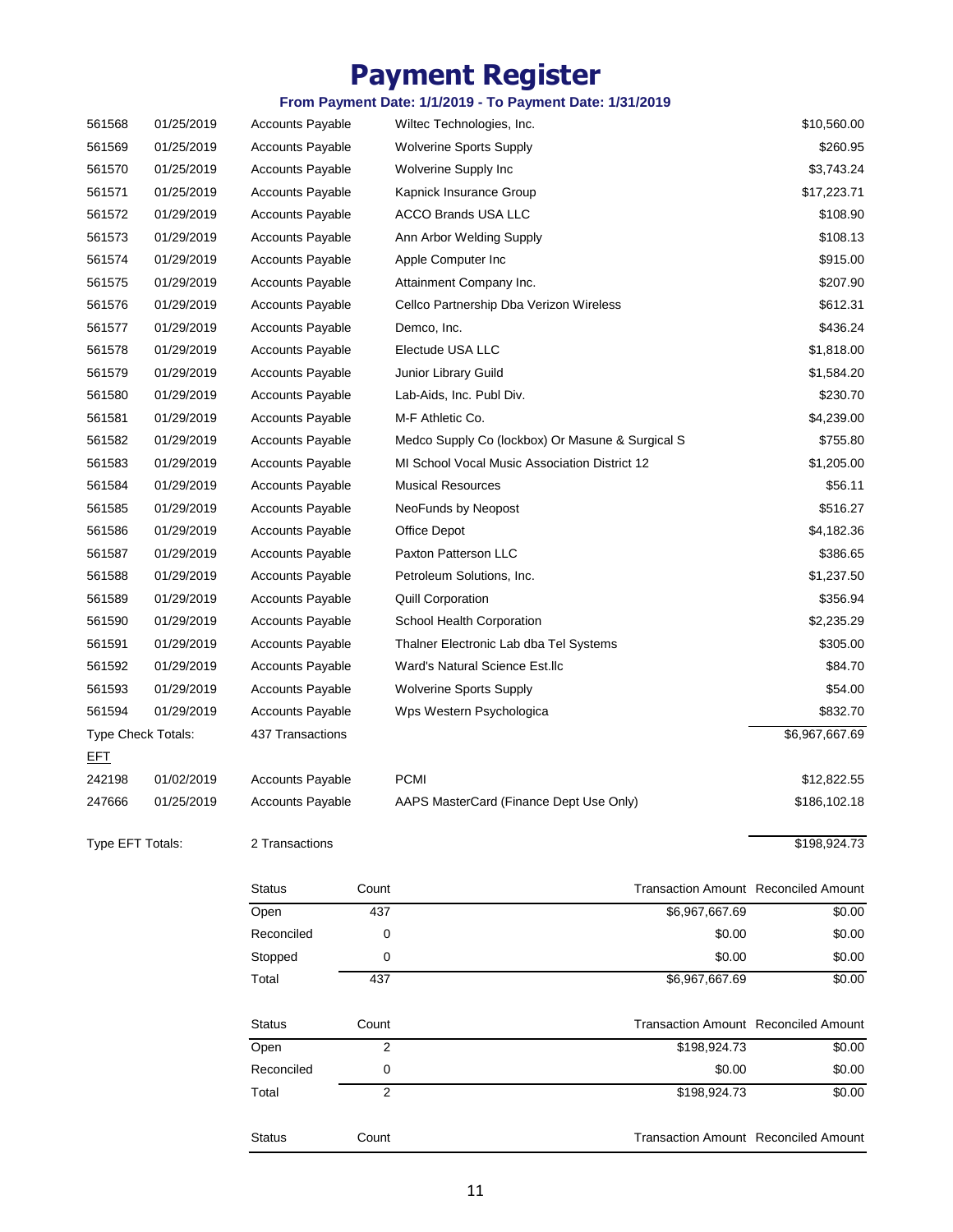### **From Payment Date: 1/1/2019 - To Payment Date: 1/31/2019**

|                  |                    | Reconciled              | 0     | \$0.00                                           | \$0.00         |
|------------------|--------------------|-------------------------|-------|--------------------------------------------------|----------------|
|                  |                    | Open                    | 2     | \$198,924.73                                     | \$0.00         |
|                  |                    | <b>Status</b>           | Count | <b>Transaction Amount Reconciled Amount</b>      |                |
|                  |                    |                         |       |                                                  |                |
|                  |                    | Total                   | 437   | \$6,967,667.69                                   | \$0.00         |
|                  |                    | Stopped                 | 0     | \$0.00                                           | \$0.00         |
|                  |                    | Reconciled              | 0     | \$0.00                                           | \$0.00         |
|                  |                    | Open                    | 437   | \$6,967,667.69                                   | \$0.00         |
|                  |                    | <b>Status</b>           | Count | <b>Transaction Amount Reconciled Amount</b>      |                |
| Type EFT Totals: |                    | 2 Transactions          |       |                                                  | \$198,924.73   |
| 247666           | 01/25/2019         | <b>Accounts Payable</b> |       | AAPS MasterCard (Finance Dept Use Only)          | \$186,102.18   |
| 242198           | 01/02/2019         | Accounts Payable        |       | <b>PCMI</b>                                      | \$12,822.55    |
| <u>EFT</u>       |                    |                         |       |                                                  |                |
|                  | Type Check Totals: | 437 Transactions        |       |                                                  | \$6,967,667.69 |
| 561594           | 01/29/2019         | <b>Accounts Payable</b> |       | Wps Western Psychologica                         | \$832.70       |
| 561593           | 01/29/2019         | <b>Accounts Payable</b> |       | <b>Wolverine Sports Supply</b>                   | \$54.00        |
| 561592           | 01/29/2019         | <b>Accounts Payable</b> |       | Ward's Natural Science Est.llc                   | \$84.70        |
| 561591           | 01/29/2019         | <b>Accounts Payable</b> |       | Thalner Electronic Lab dba Tel Systems           | \$305.00       |
| 561590           | 01/29/2019         | Accounts Payable        |       | School Health Corporation                        | \$2,235.29     |
| 561589           | 01/29/2019         | <b>Accounts Payable</b> |       | <b>Quill Corporation</b>                         | \$356.94       |
| 561588           | 01/29/2019         | <b>Accounts Payable</b> |       | Petroleum Solutions, Inc.                        | \$1,237.50     |
| 561587           | 01/29/2019         | Accounts Payable        |       | Paxton Patterson LLC                             | \$386.65       |
| 561586           | 01/29/2019         | <b>Accounts Payable</b> |       | Office Depot                                     | \$4,182.36     |
| 561585           | 01/29/2019         | <b>Accounts Payable</b> |       | NeoFunds by Neopost                              | \$516.27       |
| 561584           | 01/29/2019         | <b>Accounts Payable</b> |       | <b>Musical Resources</b>                         | \$56.11        |
| 561583           | 01/29/2019         | <b>Accounts Payable</b> |       | MI School Vocal Music Association District 12    | \$1,205.00     |
| 561582           | 01/29/2019         | <b>Accounts Payable</b> |       | Medco Supply Co (lockbox) Or Masune & Surgical S | \$755.80       |
| 561581           | 01/29/2019         | <b>Accounts Payable</b> |       | M-F Athletic Co.                                 | \$4,239.00     |
| 561580           | 01/29/2019         | <b>Accounts Payable</b> |       | Lab-Aids, Inc. Publ Div.                         | \$230.70       |
| 561579           | 01/29/2019         | <b>Accounts Payable</b> |       | Junior Library Guild                             | \$1,584.20     |
| 561578           | 01/29/2019         | Accounts Payable        |       | Electude USA LLC                                 | \$1,818.00     |
| 561577           | 01/29/2019         | <b>Accounts Payable</b> |       | Demco, Inc.                                      | \$436.24       |
| 561576           | 01/29/2019         | <b>Accounts Payable</b> |       | Cellco Partnership Dba Verizon Wireless          | \$612.31       |
| 561575           | 01/29/2019         | <b>Accounts Payable</b> |       | Attainment Company Inc.                          | \$207.90       |
| 561574           | 01/29/2019         | <b>Accounts Payable</b> |       | Apple Computer Inc                               | \$915.00       |
| 561573           | 01/29/2019         | <b>Accounts Payable</b> |       | Ann Arbor Welding Supply                         | \$108.13       |
| 561572           | 01/29/2019         | <b>Accounts Payable</b> |       | ACCO Brands USA LLC                              | \$108.90       |
| 561571           | 01/25/2019         | Accounts Payable        |       | Kapnick Insurance Group                          | \$17,223.71    |
| 561570           | 01/25/2019         | <b>Accounts Payable</b> |       | Wolverine Supply Inc                             | \$3,743.24     |
| 561569           | 01/25/2019         | <b>Accounts Payable</b> |       | <b>Wolverine Sports Supply</b>                   | \$260.95       |
| 561568           | 01/25/2019         | <b>Accounts Payable</b> |       | Wiltec Technologies, Inc.                        | \$10,560.00    |

Status Count Count Count Count Count Count Count Count Count Count Count Count Count Count Count Count Count Count Count Count Count Count Count Count Count Count Count Count Count Count Count Count Count Count Count Count

Total 2 \$0.00 \$198,924.73